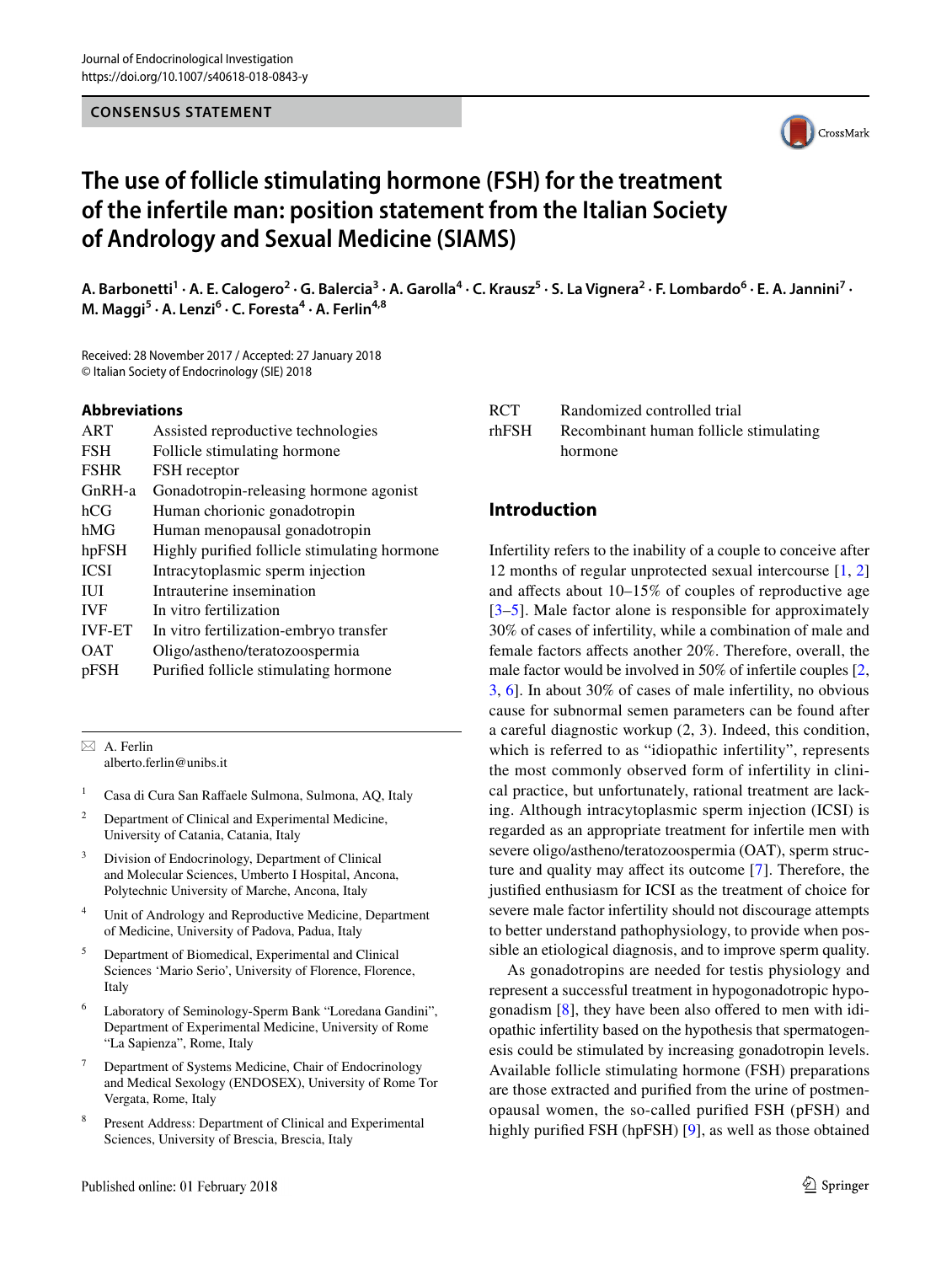### **CONSENSUS STATEMENT**



# **The use of follicle stimulating hormone (FSH) for the treatment of the infertile man: position statement from the Italian Society of Andrology and Sexual Medicine (SIAMS)**

A. Barbonetti<sup>1</sup> · A. E. Calogero<sup>2</sup> · G. Balercia<sup>3</sup> · A. Garolla<sup>4</sup> · C. Krausz<sup>5</sup> · S. La Vignera<sup>2</sup> · F. Lombardo<sup>6</sup> · E. A. Jannini<sup>7</sup> · **M. Maggi<sup>5</sup> · A. Lenzi<sup>6</sup> · C. Foresta4 · A. Ferlin4,8**

Received: 28 November 2017 / Accepted: 27 January 2018 © Italian Society of Endocrinology (SIE) 2018

### **Abbreviations**

| ART           | Assisted reproductive technologies           |
|---------------|----------------------------------------------|
| <b>FSH</b>    | Follicle stimulating hormone                 |
| <b>FSHR</b>   | FSH receptor                                 |
| GnRH-a        | Gonadotropin-releasing hormone agonist       |
| hCG           | Human chorionic gonadotropin                 |
| hMG           | Human menopausal gonadotropin                |
| hpFSH         | Highly purified follicle stimulating hormone |
| <b>ICSI</b>   | Intracytoplasmic sperm injection             |
| <b>IUI</b>    | Intrauterine insemination                    |
| <b>IVF</b>    | In vitro fertilization                       |
| <b>IVF-ET</b> | In vitro fertilization-embryo transfer       |
| <b>OAT</b>    | Oligo/astheno/teratozoospermia               |
| pFSH          | Purified follicle stimulating hormone        |
|               |                                              |

 $\boxtimes$  A. Ferlin alberto.ferlin@unibs.it

- <sup>1</sup> Casa di Cura San Rafaele Sulmona, Sulmona, AQ, Italy
- <sup>2</sup> Department of Clinical and Experimental Medicine, University of Catania, Catania, Italy
- Division of Endocrinology, Department of Clinical and Molecular Sciences, Umberto I Hospital, Ancona, Polytechnic University of Marche, Ancona, Italy
- <sup>4</sup> Unit of Andrology and Reproductive Medicine, Department of Medicine, University of Padova, Padua, Italy
- <sup>5</sup> Department of Biomedical, Experimental and Clinical Sciences 'Mario Serio', University of Florence, Florence, Italy
- Laboratory of Seminology-Sperm Bank "Loredana Gandini", Department of Experimental Medicine, University of Rome "La Sapienza", Rome, Italy
- <sup>7</sup> Department of Systems Medicine, Chair of Endocrinology and Medical Sexology (ENDOSEX), University of Rome Tor Vergata, Rome, Italy
- Present Address: Department of Clinical and Experimental Sciences, University of Brescia, Brescia, Italy

| RCT   | Randomized controlled trial            |
|-------|----------------------------------------|
| rhFSH | Recombinant human follicle stimulating |
|       | hormone                                |

# **Introduction**

Infertility refers to the inability of a couple to conceive after 12 months of regular unprotected sexual intercourse [\[1](#page-12-0), [2\]](#page-12-1) and afects about 10–15% of couples of reproductive age [[3–](#page-12-2)[5](#page-12-3)]. Male factor alone is responsible for approximately 30% of cases of infertility, while a combination of male and female factors afects another 20%. Therefore, overall, the male factor would be involved in 50% of infertile couples [[2,](#page-12-1) [3](#page-12-2), [6\]](#page-12-4). In about 30% of cases of male infertility, no obvious cause for subnormal semen parameters can be found after a careful diagnostic workup (2, 3). Indeed, this condition, which is referred to as "idiopathic infertility", represents the most commonly observed form of infertility in clinical practice, but unfortunately, rational treatment are lacking. Although intracytoplasmic sperm injection (ICSI) is regarded as an appropriate treatment for infertile men with severe oligo/astheno/teratozoospermia (OAT), sperm structure and quality may afect its outcome [[7\]](#page-12-5). Therefore, the justifed enthusiasm for ICSI as the treatment of choice for severe male factor infertility should not discourage attempts to better understand pathophysiology, to provide when possible an etiological diagnosis, and to improve sperm quality.

As gonadotropins are needed for testis physiology and represent a successful treatment in hypogonadotropic hypogonadism  $[8]$  $[8]$ , they have been also offered to men with idiopathic infertility based on the hypothesis that spermatogenesis could be stimulated by increasing gonadotropin levels. Available follicle stimulating hormone (FSH) preparations are those extracted and purifed from the urine of postmenopausal women, the so-called purifed FSH (pFSH) and highly purifed FSH (hpFSH) [[9\]](#page-12-7), as well as those obtained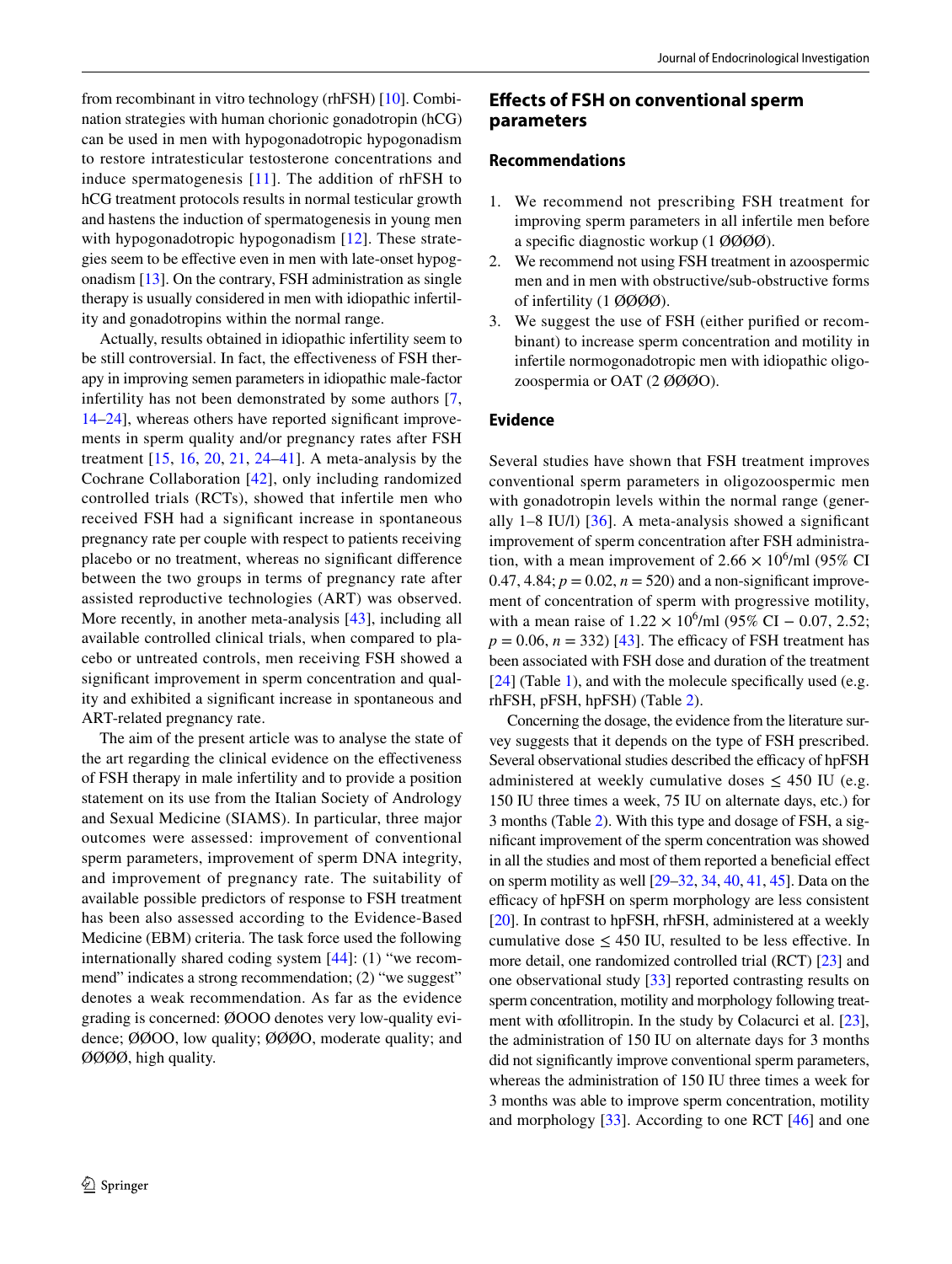from recombinant in vitro technology (rhFSH) [[10\]](#page-12-8). Combination strategies with human chorionic gonadotropin (hCG) can be used in men with hypogonadotropic hypogonadism to restore intratesticular testosterone concentrations and induce spermatogenesis [\[11\]](#page-12-9). The addition of rhFSH to hCG treatment protocols results in normal testicular growth and hastens the induction of spermatogenesis in young men with hypogonadotropic hypogonadism [[12\]](#page-12-10). These strategies seem to be efective even in men with late-onset hypogonadism [\[13](#page-12-11)]. On the contrary, FSH administration as single therapy is usually considered in men with idiopathic infertility and gonadotropins within the normal range.

Actually, results obtained in idiopathic infertility seem to be still controversial. In fact, the effectiveness of FSH therapy in improving semen parameters in idiopathic male-factor infertility has not been demonstrated by some authors [\[7,](#page-12-5) [14](#page-12-12)[–24](#page-13-0)], whereas others have reported signifcant improvements in sperm quality and/or pregnancy rates after FSH treatment  $[15, 16, 20, 21, 24–41]$  $[15, 16, 20, 21, 24–41]$  $[15, 16, 20, 21, 24–41]$  $[15, 16, 20, 21, 24–41]$  $[15, 16, 20, 21, 24–41]$  $[15, 16, 20, 21, 24–41]$  $[15, 16, 20, 21, 24–41]$  $[15, 16, 20, 21, 24–41]$  $[15, 16, 20, 21, 24–41]$  $[15, 16, 20, 21, 24–41]$ . A meta-analysis by the Cochrane Collaboration [\[42\]](#page-13-5), only including randomized controlled trials (RCTs), showed that infertile men who received FSH had a signifcant increase in spontaneous pregnancy rate per couple with respect to patients receiving placebo or no treatment, whereas no signifcant diference between the two groups in terms of pregnancy rate after assisted reproductive technologies (ART) was observed. More recently, in another meta-analysis [[43](#page-13-6)], including all available controlled clinical trials, when compared to placebo or untreated controls, men receiving FSH showed a signifcant improvement in sperm concentration and quality and exhibited a signifcant increase in spontaneous and ART-related pregnancy rate.

The aim of the present article was to analyse the state of the art regarding the clinical evidence on the efectiveness of FSH therapy in male infertility and to provide a position statement on its use from the Italian Society of Andrology and Sexual Medicine (SIAMS). In particular, three major outcomes were assessed: improvement of conventional sperm parameters, improvement of sperm DNA integrity, and improvement of pregnancy rate. The suitability of available possible predictors of response to FSH treatment has been also assessed according to the Evidence-Based Medicine (EBM) criteria. The task force used the following internationally shared coding system [\[44\]](#page-13-7): (1) "we recommend" indicates a strong recommendation; (2) "we suggest" denotes a weak recommendation. As far as the evidence grading is concerned: ØOOO denotes very low-quality evidence; ØØOO, low quality; ØØØO, moderate quality; and ØØØØ, high quality.

# **Efects of FSH on conventional sperm parameters**

#### **Recommendations**

- 1. We recommend not prescribing FSH treatment for improving sperm parameters in all infertile men before a specifc diagnostic workup (1 ØØØØ).
- 2. We recommend not using FSH treatment in azoospermic men and in men with obstructive/sub-obstructive forms of infertility (1 ØØØØ).
- 3. We suggest the use of FSH (either purifed or recombinant) to increase sperm concentration and motility in infertile normogonadotropic men with idiopathic oligozoospermia or OAT (2 ØØØO).

### **Evidence**

Several studies have shown that FSH treatment improves conventional sperm parameters in oligozoospermic men with gonadotropin levels within the normal range (generally  $1-8$  IU/l) [[36](#page-13-8)]. A meta-analysis showed a significant improvement of sperm concentration after FSH administration, with a mean improvement of  $2.66 \times 10^6$ /ml (95% CI 0.47, 4.84;  $p = 0.02$ ,  $n = 520$ ) and a non-significant improvement of concentration of sperm with progressive motility, with a mean raise of  $1.22 \times 10^6$ /ml (95% CI – 0.07, 2.52;  $p = 0.06$ ,  $n = 332$ ) [\[43\]](#page-13-6). The efficacy of FSH treatment has been associated with FSH dose and duration of the treatment  $[24]$  $[24]$  (Table [1](#page-2-0)), and with the molecule specifically used (e.g. rhFSH, pFSH, hpFSH) (Table [2](#page-5-0)).

Concerning the dosage, the evidence from the literature survey suggests that it depends on the type of FSH prescribed. Several observational studies described the efficacy of hpFSH administered at weekly cumulative doses  $\leq$  450 IU (e.g. 150 IU three times a week, 75 IU on alternate days, etc.) for 3 months (Table [2](#page-5-0)). With this type and dosage of FSH, a signifcant improvement of the sperm concentration was showed in all the studies and most of them reported a benefcial efect on sperm motility as well [[29–](#page-13-9)[32](#page-13-10), [34,](#page-13-11) [40,](#page-13-12) [41](#page-13-4), [45\]](#page-13-13). Data on the efficacy of hpFSH on sperm morphology are less consistent [\[20](#page-13-2)]. In contrast to hpFSH, rhFSH, administered at a weekly cumulative dose  $\leq 450$  IU, resulted to be less effective. In more detail, one randomized controlled trial (RCT) [\[23\]](#page-13-14) and one observational study [[33\]](#page-13-15) reported contrasting results on sperm concentration, motility and morphology following treatment with αfollitropin. In the study by Colacurci et al. [[23](#page-13-14)], the administration of 150 IU on alternate days for 3 months did not signifcantly improve conventional sperm parameters, whereas the administration of 150 IU three times a week for 3 months was able to improve sperm concentration, motility and morphology [[33\]](#page-13-15). According to one RCT [\[46](#page-13-16)] and one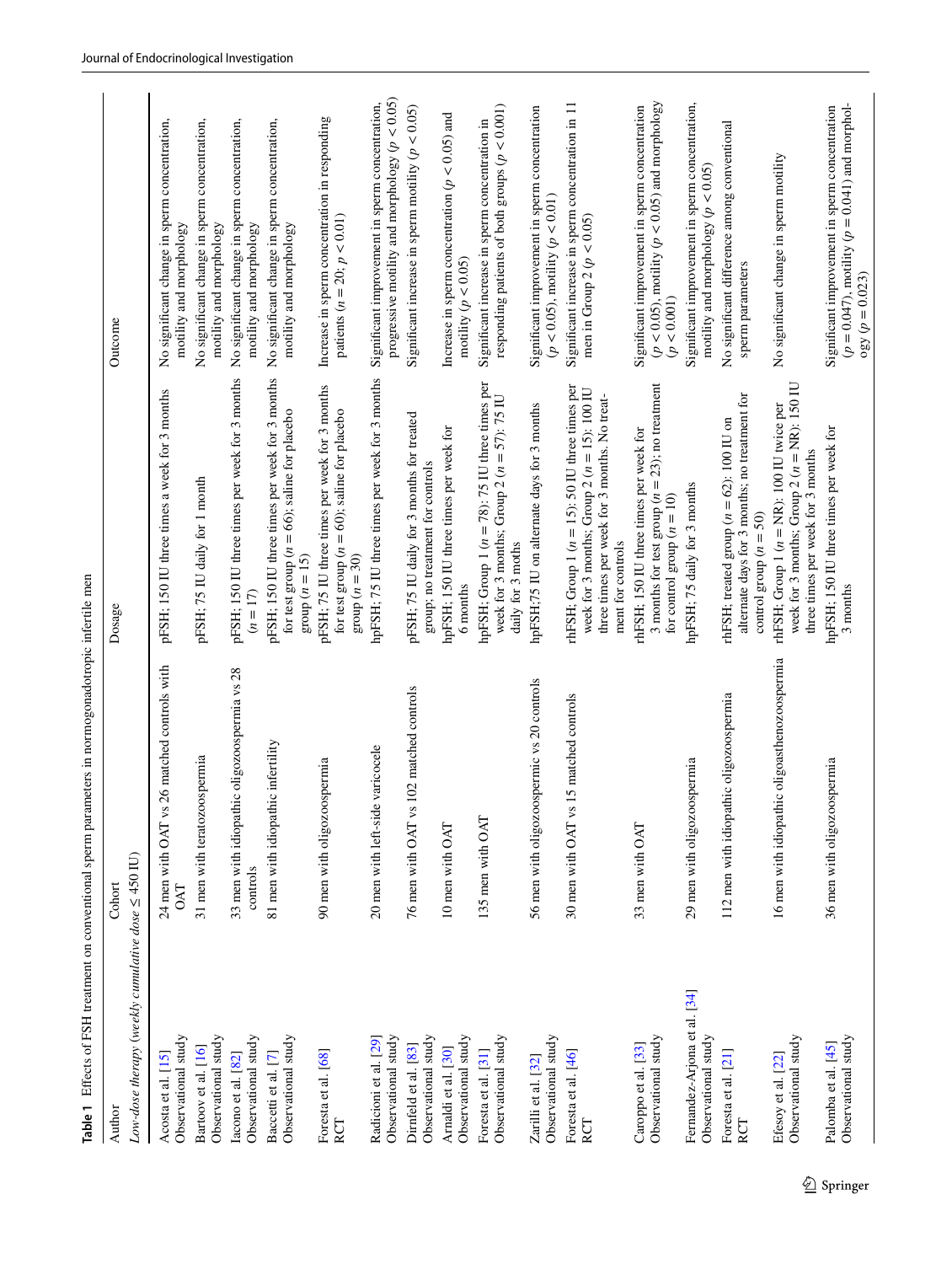| Author                                                  | Cohort                                                       | Dosage                                                                                                                                                                     | Outcome                                                                                                                       |
|---------------------------------------------------------|--------------------------------------------------------------|----------------------------------------------------------------------------------------------------------------------------------------------------------------------------|-------------------------------------------------------------------------------------------------------------------------------|
| Low-dose therapy (weekly cumulative dose $\leq$ 450 IU) |                                                              |                                                                                                                                                                            |                                                                                                                               |
| Observational study<br>Acosta et al. [15]               | 26 matched controls with<br>24 men with OAT vs<br><b>DAT</b> | pFSH; 150 IU three times a week for 3 months                                                                                                                               | No significant change in sperm concentration,<br>motility and morphology                                                      |
| Observational study<br>Bartoov et al. [16]              | 31 men with teratozoospermia                                 | pFSH; 75 IU daily for 1 month                                                                                                                                              | No significant change in sperm concentration,<br>motility and morphology                                                      |
| Observational study<br>Iacono et al. [82]               | 33 men with idiopathic oligozoospermia vs 28<br>controls     | pFSH; 150 IU three times per week for 3 months<br>$(n = 17)$                                                                                                               | No significant change in sperm concentration,<br>motility and morphology                                                      |
| Observational study<br>Baccetti et al. [7]              | 81 men with idiopathic infertility                           | pFSH; 150 IU three times per week for 3 months<br>for test group ( $n = 66$ ); saline for placebo<br>group ( $n = 15$ )                                                    | No significant change in sperm concentration,<br>motility and morphology                                                      |
| Foresta et al. [68]<br>RCT                              | 90 men with oligozoospermia                                  | pFSH; 75 IU three times per week for 3 months<br>for test group ( $n = 60$ ); saline for placebo<br>group $(n = 30)$                                                       | Increase in sperm concentration in responding<br>patients ( $n = 20$ ; $p < 0.01$ )                                           |
| Observational study<br>Radicioni et al. [29]            | varicocele<br>20 men with left-side                          | hpFSH; 75 IU three times per week for 3 months                                                                                                                             | progressive motility and morphology ( $p < 0.05$ )<br>Significant improvement in sperm concentration,                         |
| Observational study<br>Dirnfeld et al. [83]             | 102 matched controls<br>76 men with OAT vs                   | pFSH; 75 IU daily for 3 months for treated<br>group; no treatment for controls                                                                                             | Significant increase in sperm motility ( $p < 0.05$ )                                                                         |
| Observational study<br>Arnaldi et al. [30]              | 10 men with OAT                                              | hpFSH; 150 IU three times per week for<br>6 months                                                                                                                         | Increase in sperm concentration ( $p < 0.05$ ) and<br>motility ( $p < 0.05$ )                                                 |
| Observational study<br>Foresta et al. [31]              | 135 men with OAT                                             | hpFSH; Group 1 ( $n = 78$ ): 75 IU three times per<br>week for 3 months; Group 2 ( $n = 57$ ): 75 IU<br>daily for 3 moths                                                  | responding patients of both groups ( $p < 0.001$ )<br>Significant increase in sperm concentration in                          |
| Observational study<br>Zarilli et al. [32]              | 56 men with oligozoospermic vs 20 controls                   | hpFSH;75 IU on alternate days for 3 months                                                                                                                                 | Significant improvement in sperm concentration<br>$(p < 0.05)$ , motility $(p < 0.01)$                                        |
| Foresta et al. [46]<br>RCT                              | 15 matched controls<br>30 men with OAT vs                    | rhFSH; Group 1 ( $n = 15$ ); 50 IU three times per<br>week for 3 months; Group 2 ( $n = 15$ ): 100 IU<br>three times per week for 3 months. No treat-<br>ment for controls | Significant increase in sperm concentration in 11<br>men in Group 2 ( $p < 0.05$ )                                            |
| Observational study<br>Caroppo et al. [33]              | 33 men with OAT                                              | 3 months for test group ( $n = 23$ ); no treatment<br>rhFSH; 150 IU three times per week for<br>for control group $(n = 10)$                                               | $(p < 0.05)$ , motility $(p < 0.05)$ and morphology<br>Significant improvement in sperm concentration<br>(p < 0.001)          |
| Fernandez-Arjona et al. [34]<br>Observational study     | 29 men with oligozoospermia                                  | hpFSH; 75 daily for 3 months                                                                                                                                               | Significant improvement in sperm concentration,<br>motility and morphology ( $p < 0.05$ )                                     |
| Foresta et al. [21]<br>RCT                              | 112 men with idiopathic oligozoospermia                      | alternate days for 3 months; no treatment for<br>rhFSH; treated group ( $n = 62$ ): 100 IU on<br>control group $(n = 50)$                                                  | No significant difference among conventional<br>sperm parameters                                                              |
| Observational study<br>Efesoy et al. [22]               | 16 men with idiopathic oligoasthenozoospermia                | week for 3 months; Group 2 ( $n = NR$ ): 150 IU<br>rhFSH; Group $1 (n = NR)$ ; 100 IU twice per<br>three times per week for 3 months                                       | No significant change in sperm motility                                                                                       |
| Observational study<br>Palomba et al. [45]              | 36 men with oligozoospermia                                  | hpFSH; 150 IU three times per week for<br>3 months                                                                                                                         | $(p = 0.047)$ , motility $(p = 0.041)$ and morphol-<br>Significant improvement in sperm concentration<br>$\log y (p = 0.023)$ |

<span id="page-2-0"></span>Table 1 Effects of FSH treatment on conventional sperm parameters in normogonadotropic infertile men **Table 1** Efects of FSH treatment on conventional sperm parameters in normogonadotropic infertile men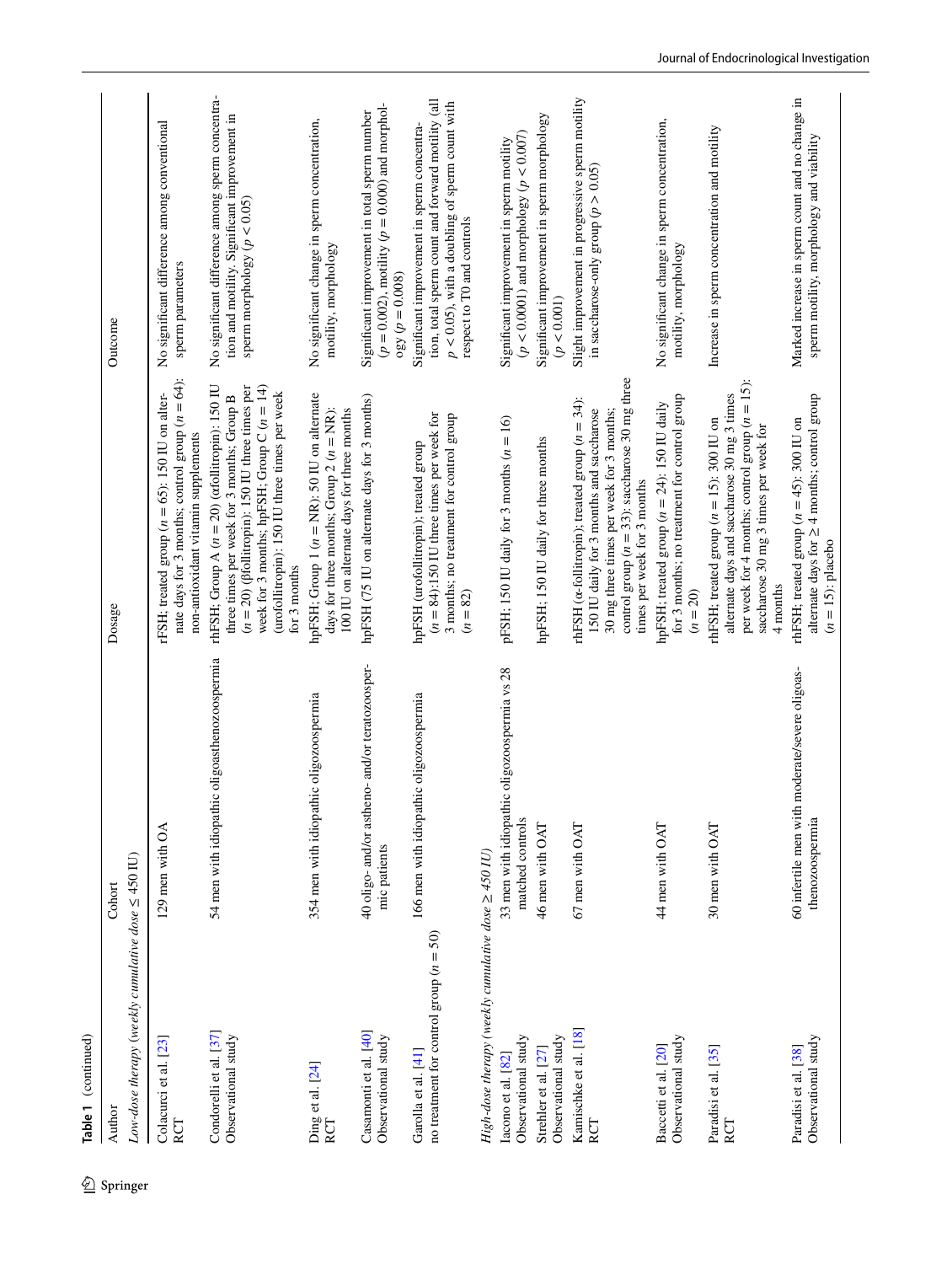| Author                                                             | Cohort                                                              | Dosage                                                                                                                                                                                                                                                                        | Outcome                                                                                                                                                                             |
|--------------------------------------------------------------------|---------------------------------------------------------------------|-------------------------------------------------------------------------------------------------------------------------------------------------------------------------------------------------------------------------------------------------------------------------------|-------------------------------------------------------------------------------------------------------------------------------------------------------------------------------------|
| Low-dose therapy (weekly cumulative dose $\leq$ 450 IU)            |                                                                     |                                                                                                                                                                                                                                                                               |                                                                                                                                                                                     |
| Colacurci et al. [23]<br>RCT                                       | 129 men with OA                                                     | nate days for 3 months; control group $(n = 64)$ :<br>rFSH; treated group $(n = 65)$ : 150 IU on alter-<br>non-antioxidant vitamin supplements                                                                                                                                | No significant difference among conventional<br>sperm parameters                                                                                                                    |
| Condorelli et al. [37]<br>Observational study                      | oligoasthenozoospermia<br>54 men with idiopathic                    | week for 3 months; hpFSH; Group $C(n = 14)$<br>rhFSH; Group A ( $n = 20$ ) (ofollitropin): 150 IU<br>$(n = 20)$ ( $\beta$ follitropin): 150 IU three times per<br>(urofollitropin): 150 IU three times per week<br>three times per week for 3 months; Group B<br>for 3 months | No significant difference among sperm concentra-<br>tion and motility. Significant improvement in<br>sperm morphology ( $p < 0.05$ )                                                |
| $\mathop{\mathrm{Ding}}\limits_{\mathrm{RCT}}$ et al. [24]         | ic oligozoospermia<br>354 men with idiopath                         | hpFSH; Group 1 ( $n = NR$ ): 50 IU on alternate<br>100 IU on alternate days for three months<br>days for three months; Group 2 $(n = NR)$ :                                                                                                                                   | No significant change in sperm concentration,<br>motility, morphology                                                                                                               |
| Casamonti et al. [40]<br>Observational study                       | 40 oligo- and/or astheno- and/or teratozoosper-<br>mic patients     | hpFSH (75 IU on alternate days for 3 months)                                                                                                                                                                                                                                  | $(p = 0.002)$ , motility $(p = 0.000)$ and morphol-<br>Significant improvement in total sperm number<br>$\log y (p = 0.008)$                                                        |
| no treatment for control group ( $n = 50$ )<br>Garolla et al. [41] | 166 men with idiopathic oligozoospermia                             | $(n = 84)$ :150 IU three times per week for<br>3 months; no treatment for control group<br>hpFSH (urofollitropin); treated group<br>$(n = 82)$                                                                                                                                | tion, total sperm count and forward motility (all<br>$p < 0.05$ ), with a doubling of sperm count with<br>Significant improvement in sperm concentra-<br>respect to T0 and controls |
| High-dose therapy (weekly cumulative dose $\geq$ 450 IU)           |                                                                     |                                                                                                                                                                                                                                                                               |                                                                                                                                                                                     |
| Observational study<br>Iacono et al. [82]                          | oligozoospermia vs 28<br>33 men with idiopathic<br>matched controls | pFSH; 150 IU daily for 3 months $(n = 16)$                                                                                                                                                                                                                                    | $(p < 0.0001)$ and morphology $(p < 0.007)$<br>Significant improvement in sperm motility                                                                                            |
| Observational study<br>Strehler et al. [27]                        | 46 men with OAT                                                     | hpFSH; 150 IU daily for three months                                                                                                                                                                                                                                          | Significant improvement in sperm morphology<br>$(p<0.001)$                                                                                                                          |
| Kamischke et al. [18]<br>RCT                                       | 67 men with OAT                                                     | control group ( $n = 33$ ): saccharose 30 mg three<br>rhFSH ( $\alpha$ -follitropin); treated group ( $n = 34$ ):<br>150 IU daily for 3 months and saccharose<br>30 mg three times per week for 3 months;<br>times per week for 3 months                                      | Slight improvement in progressive sperm motility<br>in saccharose-only group ( $p > 0.05$ )                                                                                         |
| Observational study<br>Baccetti et al. [20]                        | 44 men with OAT                                                     | for 3 months; no treatment for control group<br>hpFSH; treated group $(n = 24)$ : 150 IU daily<br>$(n = 20)$                                                                                                                                                                  | No significant change in sperm concentration,<br>motility, morphology                                                                                                               |
| Paradisi et al. [35]<br>RCT                                        | 30 men with OAT                                                     | per week for 4 months; control group $(n = 15)$ :<br>alternate days and saccharose 30 mg 3 times<br>rhFSH; treated group $(n = 15)$ : 300 IU on<br>saccharose 30 mg 3 times per week for<br>4 months                                                                          | Increase in sperm concentration and motility                                                                                                                                        |
| Observational study<br>Paradisi et al. [38]                        | 60 infertile men with moderate/severe oligoas-<br>thenozoospermia   | alternate days for $\geq 4$ months; control group<br>rhFSH; treated group ( $n = 45$ ): 300 IU on<br>$(n = 15)$ : placebo                                                                                                                                                     | Marked increase in sperm count and no change in<br>sperm motility, morphology and viability                                                                                         |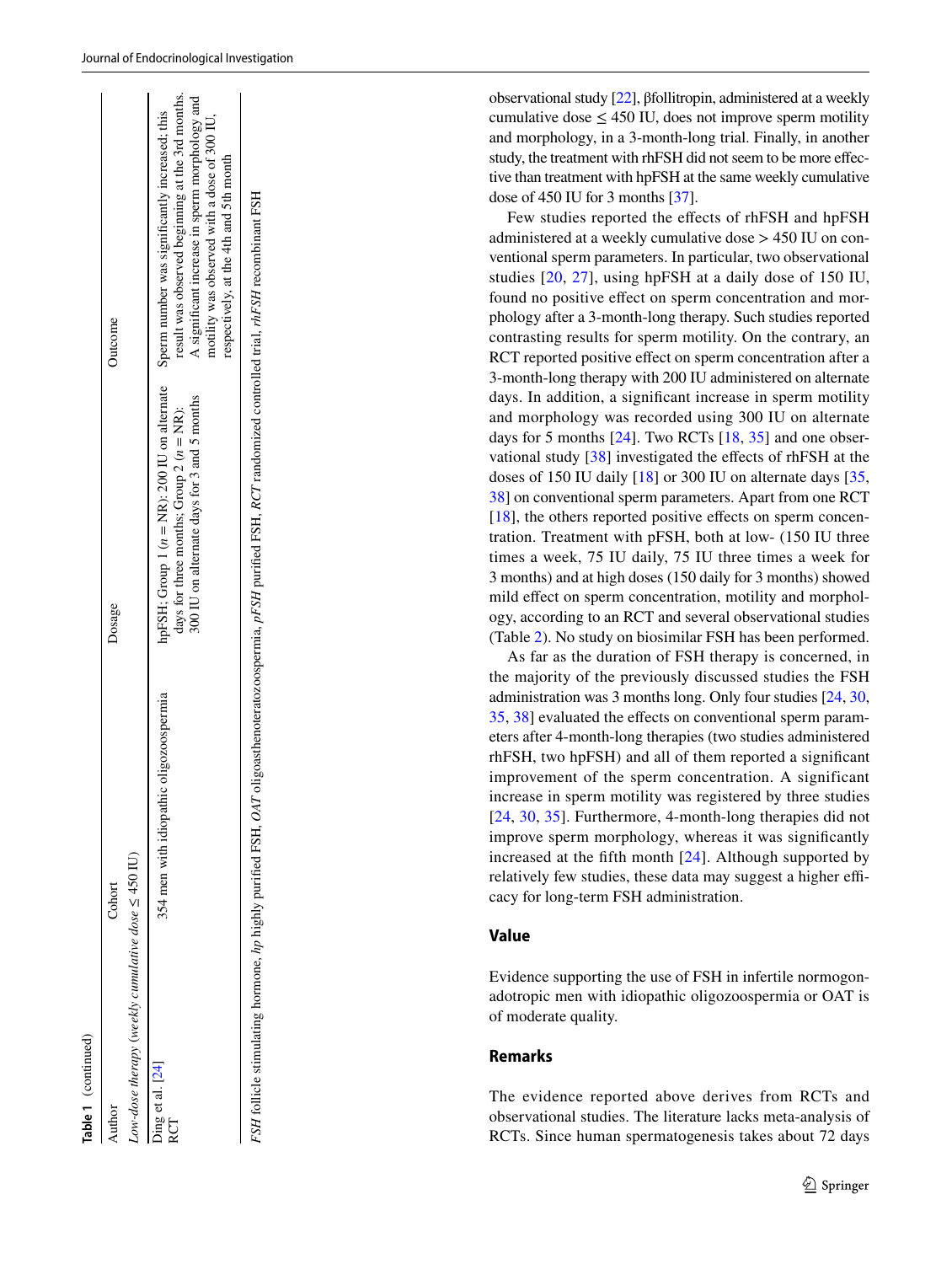| Author           | Cohort                                                                                                                                                                | Dosage                                                                                     | Outcome                                                                                                                                                                                                                                                                                     |
|------------------|-----------------------------------------------------------------------------------------------------------------------------------------------------------------------|--------------------------------------------------------------------------------------------|---------------------------------------------------------------------------------------------------------------------------------------------------------------------------------------------------------------------------------------------------------------------------------------------|
|                  | Low-dose therapy (weekly cumulative dose $\leq$ 450 IU)                                                                                                               |                                                                                            |                                                                                                                                                                                                                                                                                             |
| Ding et al. [24] | 354 men with idiopathic oligozoospermia                                                                                                                               | 300 IU on alternate days for 3 and 5 months<br>days for three months; Group 2 $(n = NR)$ : | result was observed beginning at the 3rd months.<br>A significant increase in sperm morphology and<br>hpFSH; Group 1 (n = NR): 200 IU on alternate Sperm number was significantly increased; this<br>motility was observed with a dose of 300 IU,<br>respectively, at the 4th and 5th month |
|                  | FSH follicle stimulating hormone, hp highly purified FSH, OAT oligoasthenoteratozoospermia, pFSH purified FSH, RCT randomized controlled trial, thFSH recombinant FSH |                                                                                            |                                                                                                                                                                                                                                                                                             |

**Table 1**

(continued)

observational study [[22](#page-13-19)], βfollitropin, administered at a weekly cumulative dose  $\leq 450$  IU, does not improve sperm motility and morphology, in a 3-month-long trial. Finally, in another study, the treatment with rhFSH did not seem to be more efec tive than treatment with hpFSH at the same weekly cumulative dose of 450 IU for 3 months [[37](#page-13-20)].

Few studies reported the efects of rhFSH and hpFSH administered at a weekly cumulative dose > 450 IU on con ventional sperm parameters. In particular, two observational studies [[20](#page-13-2), [27](#page-13-21)], using hpFSH at a daily dose of 150 IU, found no positive effect on sperm concentration and morphology after a 3-month-long therapy. Such studies reported contrasting results for sperm motility. On the contrary, an RCT reported positive effect on sperm concentration after a 3-month-long therapy with 200 IU administered on alternate days. In addition, a signifcant increase in sperm motility and morphology was recorded using 300 IU on alternate days for 5 months [[24](#page-13-0)]. Two RCTs [\[18](#page-13-22), [35\]](#page-13-23) and one obser - vational study [\[38](#page-13-24)] investigated the effects of rhFSH at the doses of 150 IU daily [\[18](#page-13-22)] or 300 IU on alternate days [[35,](#page-13-23) [38](#page-13-24)[\]](#page-13-22) on conventional sperm parameters. Apart from one RCT [[18\]](#page-13-22), the others reported positive efects on sperm concentration. Treatment with pFSH, both at low- (150 IU three times a week, 75 IU daily, 75 IU three times a week for 3 months) and at high doses (150 daily for 3 months) showed mild effect on sperm concentration, motility and morphology, according to an RCT and several observational studies (Table [2](#page-5-0)). No study on biosimilar FSH has been performed.

As far as the duration of FSH therapy is concerned, in the majority of the previously discussed studies the FSH administration was 3 months long. Only four studies [\[24](#page-13-0), [30,](#page-13-17) [35](#page-13-23), [38](#page-13-24)] evaluated the efects on conventional sperm param eters after 4-month-long therapies (two studies administered rhFSH, two hpFSH) and all of them reported a signifcant improvement of the sperm concentration. A significant i[ncr](#page-13-0)[eas](#page-13-17)e [in](#page-13-23) sperm motility was registered by three studies [[24,](#page-13-0) [30](#page-13-17), [35\]](#page-13-23). Furthermore, 4-month-long therapies did not improve sperm morphology, whereas it was signifcantly increased at the ffth month [\[24\]](#page-13-0). Although supported by relatively few studies, these data may suggest a higher ef cacy for long-term FSH administration.

#### **Value**

Evidence supporting the use of FSH in infertile normogon adotropic men with idiopathic oligozoospermia or OAT is of moderate quality.

# **Remarks**

The evidence reported above derives from RCTs and observational studies. The literature lacks meta-analysis of RCTs. Since human spermatogenesis takes about 72 days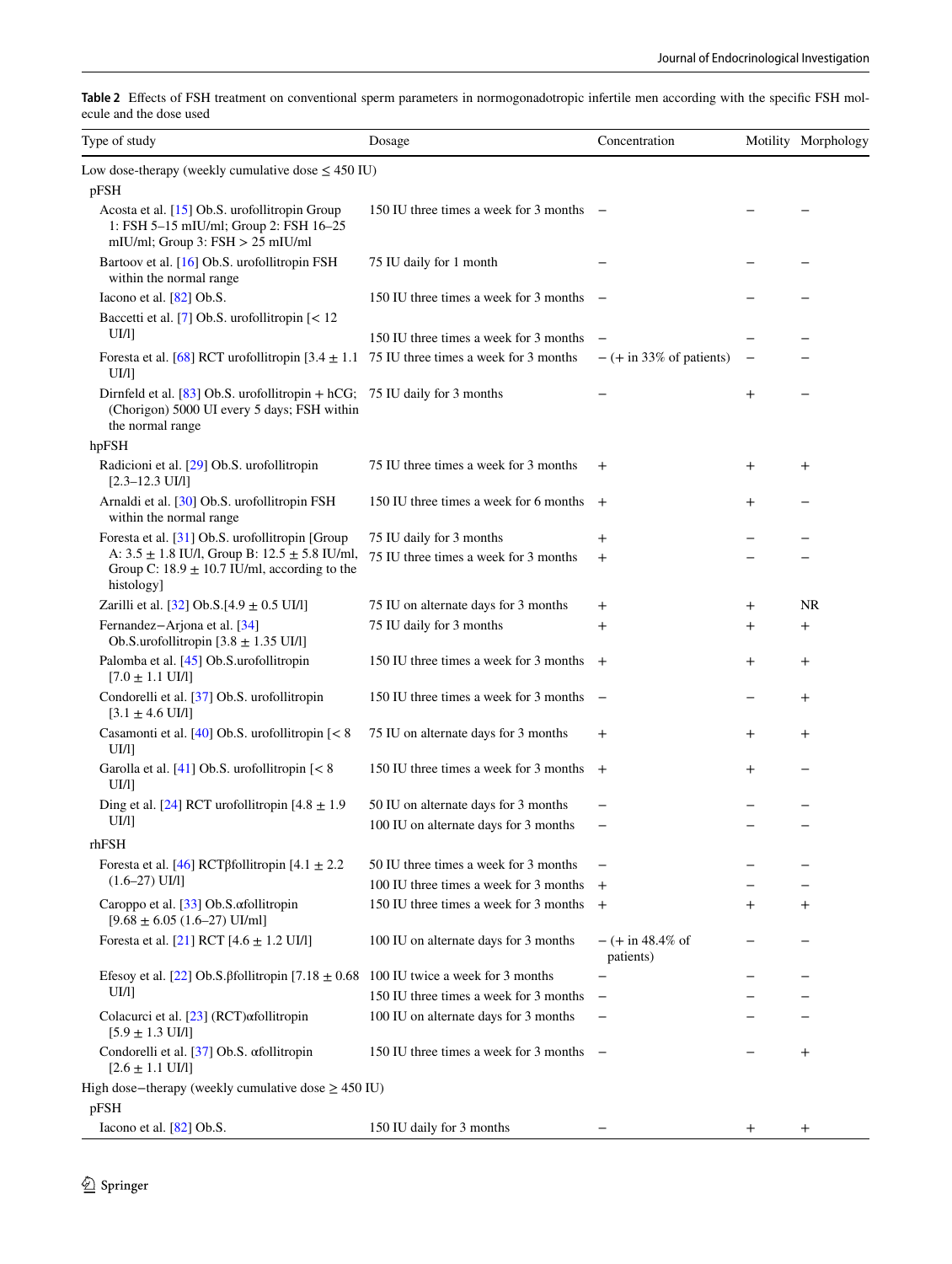<span id="page-5-0"></span>

| Table 2 Effects of FSH treatment on conventional sperm parameters in normogonadotropic infertile men according with the specific FSH mol- |  |  |  |  |
|-------------------------------------------------------------------------------------------------------------------------------------------|--|--|--|--|
| ecule and the dose used                                                                                                                   |  |  |  |  |

| Type of study                                                                                                                                  | Dosage                                   | Concentration                    |                    | Motility Morphology |
|------------------------------------------------------------------------------------------------------------------------------------------------|------------------------------------------|----------------------------------|--------------------|---------------------|
| Low dose-therapy (weekly cumulative dose $\leq 450$ IU)<br>pFSH                                                                                |                                          |                                  |                    |                     |
| Acosta et al. [15] Ob.S. urofollitropin Group<br>1: FSH 5-15 mIU/ml; Group 2: FSH 16-25<br>mIU/ml; Group 3: $FSH > 25$ mIU/ml                  | 150 IU three times a week for 3 months – |                                  |                    |                     |
| Bartoov et al. [16] Ob.S. urofollitropin FSH<br>within the normal range                                                                        | 75 IU daily for 1 month                  |                                  |                    |                     |
| Iacono et al. [82] Ob.S.                                                                                                                       | 150 IU three times a week for 3 months   |                                  |                    |                     |
| Baccetti et al. [7] Ob.S. urofollitropin [< 12<br>UI/I]                                                                                        | 150 IU three times a week for 3 months   |                                  |                    |                     |
| Foresta et al. [68] RCT urofollitropin [3.4 $\pm$ 1.1 75 IU three times a week for 3 months<br>UI/1                                            |                                          | $- (+ in 33\% of patients)$      |                    |                     |
| Dirnfeld et al. $[83]$ Ob.S. urofollitropin + hCG; 75 IU daily for 3 months<br>(Chorigon) 5000 UI every 5 days; FSH within<br>the normal range |                                          |                                  | $^{+}$             |                     |
| hpFSH                                                                                                                                          |                                          |                                  |                    |                     |
| Radicioni et al. [29] Ob.S. urofollitropin<br>$[2.3 - 12.3$ UI/l]                                                                              | 75 IU three times a week for 3 months    | $^{+}$                           | $^{+}$             | $^{+}$              |
| Arnaldi et al. [30] Ob.S. urofollitropin FSH<br>within the normal range                                                                        | 150 IU three times a week for 6 months   | $+$                              | $^{+}$             |                     |
| Foresta et al. [31] Ob.S. urofollitropin [Group                                                                                                | 75 IU daily for 3 months                 | $\overline{+}$                   |                    |                     |
| A: $3.5 \pm 1.8$ IU/l, Group B: $12.5 \pm 5.8$ IU/ml,<br>Group C: $18.9 \pm 10.7$ IU/ml, according to the<br>histology]                        | 75 IU three times a week for 3 months    | $^{+}$                           |                    |                     |
| Zarilli et al. [32] Ob.S.[4.9 ± 0.5 UI/l]                                                                                                      | 75 IU on alternate days for 3 months     | $\pm$                            | $\hspace{0.1mm} +$ | NR                  |
| Fernandez-Arjona et al. [34]<br>Ob.S.urofollitropin $[3.8 \pm 1.35 \text{ UI/}1]$                                                              | 75 IU daily for 3 months                 | $\overline{+}$                   | $\overline{+}$     | $^{+}$              |
| Palomba et al. [45] Ob.S.urofollitropin<br>$[7.0 \pm 1.1 \text{ UJ/l}]$                                                                        | 150 IU three times a week for 3 months   | $+$                              | $^{+}$             | $^{+}$              |
| Condorelli et al. [37] Ob.S. urofollitropin<br>$[3.1 \pm 4.6 \text{ UJ/l}]$                                                                    | 150 IU three times a week for 3 months   | $\overline{\phantom{a}}$         |                    | $\mathrm{+}$        |
| Casamonti et al. [40] Ob.S. urofollitropin [< 8<br>UI/1                                                                                        | 75 IU on alternate days for 3 months     | $\mathrm{+}$                     | $\, +$             | $\mathrm{+}$        |
| Garolla et al. $[41]$ Ob.S. urofollitropin $[< 8]$<br>UI/11                                                                                    | 150 IU three times a week for 3 months   | $^{+}$                           | $\,{}^+$           |                     |
| Ding et al. [24] RCT urofollitropin $[4.8 \pm 1.9]$                                                                                            | 50 IU on alternate days for 3 months     |                                  |                    |                     |
| UI/I]<br>rhFSH                                                                                                                                 | 100 IU on alternate days for 3 months    |                                  |                    |                     |
| Foresta et al. [46] RCT $\beta$ follitropin [4.1 $\pm$ 2.2                                                                                     | 50 IU three times a week for 3 months    |                                  |                    |                     |
| $(1.6-27)$ UI/I]                                                                                                                               | 100 IU three times a week for 3 months   | $^{+}$                           |                    |                     |
| Caroppo et al. [33] Ob.S. afollitropin<br>$[9.68 \pm 6.05 (1.6 - 27) U I/ml]$                                                                  | 150 IU three times a week for 3 months   | $\overline{+}$                   | $^{+}$             | $^+$                |
| Foresta et al. [21] RCT $[4.6 \pm 1.2 \text{ UI}$ ]                                                                                            | 100 IU on alternate days for 3 months    | $- (+ in 48.4\% of$<br>patients) |                    |                     |
| Efesoy et al. [22] Ob.S. $\beta$ follitropin [7.18 $\pm$ 0.68 100 IU twice a week for 3 months                                                 |                                          |                                  |                    |                     |
| UI/I]                                                                                                                                          | 150 IU three times a week for 3 months   |                                  |                    |                     |
| Colacurci et al. [23] (RCT) afollitropin<br>$[5.9 \pm 1.3 \text{ UJ/l}]$                                                                       | 100 IU on alternate days for 3 months    |                                  |                    |                     |
| Condorelli et al. [37] Ob.S. afollitropin<br>$[2.6 \pm 1.1 \text{ UI/l}]$                                                                      | 150 IU three times a week for 3 months   | $\overline{\phantom{0}}$         |                    | $^{+}$              |
| High dose-therapy (weekly cumulative dose $\geq$ 450 IU)<br>pFSH                                                                               |                                          |                                  |                    |                     |
| Iacono et al. $[82]$ Ob.S.                                                                                                                     | 150 IU daily for 3 months                |                                  | $^{+}$             | $^+$                |
|                                                                                                                                                |                                          |                                  |                    |                     |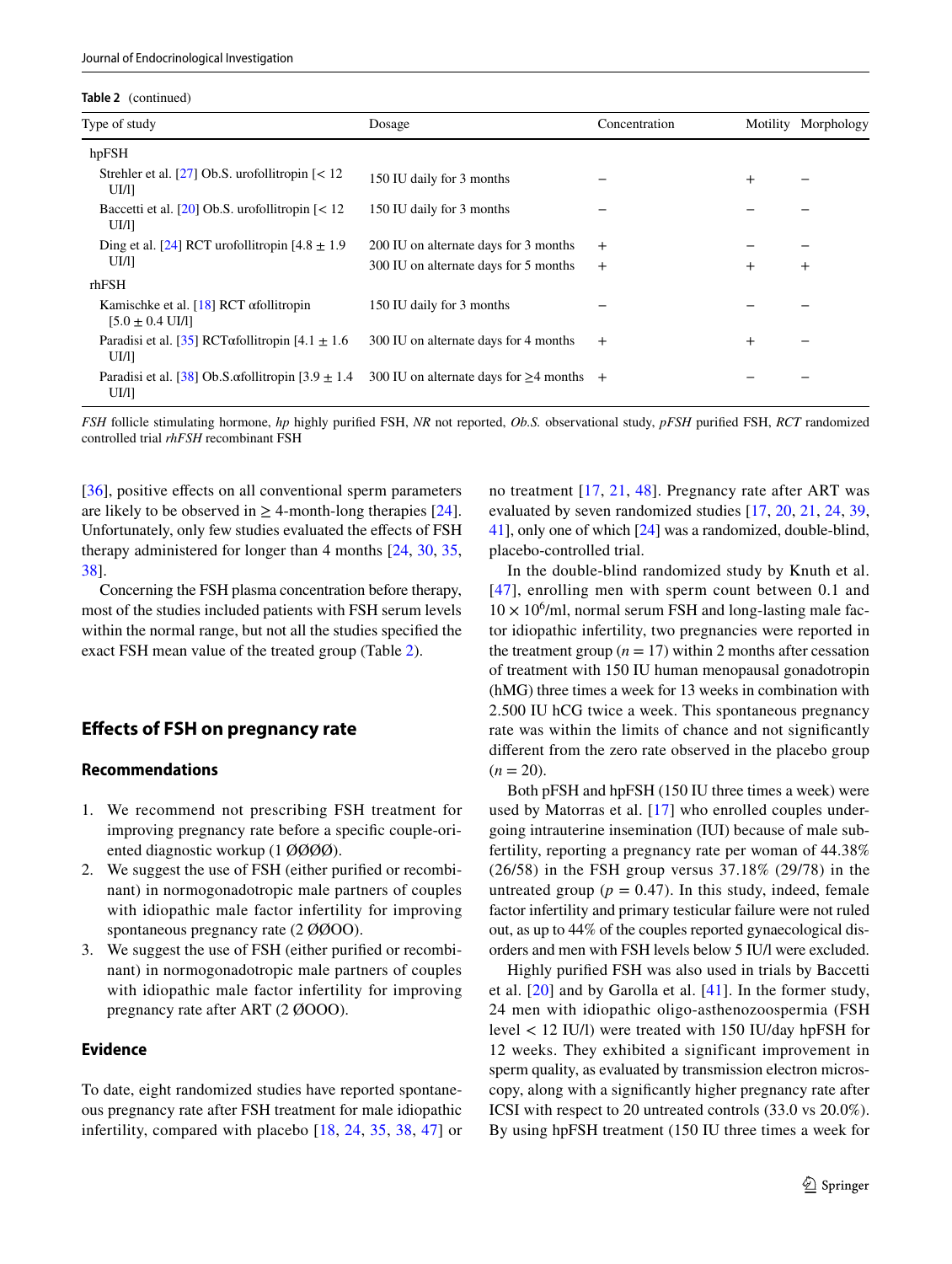**Table 2** (continued)

| Type of study                                                                  | Dosage                                         | Concentration |        | Motility Morphology |
|--------------------------------------------------------------------------------|------------------------------------------------|---------------|--------|---------------------|
| hpFSH                                                                          |                                                |               |        |                     |
| Strehler et al. [27] Ob.S. urofollitropin $\lceil$ < 12<br>UI/I]               | 150 IU daily for 3 months                      |               | $^{+}$ |                     |
| Baccetti et al. [20] Ob.S. urofollitropin $\lceil$ < 12<br>UI/I]               | 150 IU daily for 3 months                      |               |        |                     |
| Ding et al. [24] RCT urofollitropin $[4.8 \pm 1.9]$                            | 200 IU on alternate days for 3 months          | $+$           |        |                     |
| $UI/1$ ]                                                                       | 300 IU on alternate days for 5 months          | $+$           | $^{+}$ | $+$                 |
| rhFSH                                                                          |                                                |               |        |                     |
| Kamischke et al. [18] RCT $\alpha$ follitropin<br>$[5.0 \pm 0.4 \text{ UI/l}]$ | 150 IU daily for 3 months                      |               |        |                     |
| Paradisi et al. [35] RCT $\alpha$ follitropin [4.1 $\pm$ 1.6<br>UI/I]          | 300 IU on alternate days for 4 months          | $+$           | $^{+}$ |                     |
| Paradisi et al. [38] Ob.S. $\alpha$ follitropin [3.9 $\pm$ 1.4<br>UI/I]        | 300 IU on alternate days for $\geq$ 4 months + |               |        |                     |

*FSH* follicle stimulating hormone, *hp* highly purifed FSH, *NR* not reported, *Ob.S.* observational study, *pFSH* purifed FSH, *RCT* randomized controlled trial *rhFSH* recombinant FSH

[\[36\]](#page-13-8), positive effects on all conventional sperm parameters are likely to be observed in  $\geq$  4-month-long therapies [\[24](#page-13-0)]. Unfortunately, only few studies evaluated the effects of FSH therapy administered for longer than 4 months [[24,](#page-13-0) [30](#page-13-17), [35,](#page-13-23) [38](#page-13-24)].

Concerning the FSH plasma concentration before therapy, most of the studies included patients with FSH serum levels within the normal range, but not all the studies specifed the exact FSH mean value of the treated group (Table [2](#page-5-0)).

# **Efects of FSH on pregnancy rate**

### **Recommendations**

- 1. We recommend not prescribing FSH treatment for improving pregnancy rate before a specifc couple-oriented diagnostic workup (1 ØØØØ).
- 2. We suggest the use of FSH (either purifed or recombinant) in normogonadotropic male partners of couples with idiopathic male factor infertility for improving spontaneous pregnancy rate (2  $\emptyset$  $\emptyset$ OO).
- 3. We suggest the use of FSH (either purifed or recombinant) in normogonadotropic male partners of couples with idiopathic male factor infertility for improving pregnancy rate after ART (2 ØOOO).

### **Evidence**

To date, eight randomized studies have reported spontaneous pregnancy rate after FSH treatment for male idiopathic infertility, compared with placebo [[18](#page-13-22), [24,](#page-13-0) [35](#page-13-23), [38](#page-13-24), [47](#page-13-25)] or no treatment [\[17,](#page-13-26) [21,](#page-13-3) [48](#page-14-1)]. Pregnancy rate after ART was evaluated by seven randomized studies [[17](#page-13-26), [20](#page-13-2), [21,](#page-13-3) [24](#page-13-0), [39,](#page-13-27) [41](#page-13-4)], only one of which [\[24](#page-13-0)] was a randomized, double-blind, placebo-controlled trial.

In the double-blind randomized study by Knuth et al. [[47](#page-13-25)], enrolling men with sperm count between 0.1 and  $10 \times 10^6$ /ml, normal serum FSH and long-lasting male factor idiopathic infertility, two pregnancies were reported in the treatment group  $(n = 17)$  within 2 months after cessation of treatment with 150 IU human menopausal gonadotropin (hMG) three times a week for 13 weeks in combination with 2.500 IU hCG twice a week. This spontaneous pregnancy rate was within the limits of chance and not signifcantly diferent from the zero rate observed in the placebo group  $(n = 20)$ .

Both pFSH and hpFSH (150 IU three times a week) were used by Matorras et al. [[17](#page-13-26)] who enrolled couples undergoing intrauterine insemination (IUI) because of male subfertility, reporting a pregnancy rate per woman of 44.38% (26/58) in the FSH group versus 37.18% (29/78) in the untreated group ( $p = 0.47$ ). In this study, indeed, female factor infertility and primary testicular failure were not ruled out, as up to 44% of the couples reported gynaecological disorders and men with FSH levels below 5 IU/l were excluded.

Highly purifed FSH was also used in trials by Baccetti et al. [\[20\]](#page-13-2) and by Garolla et al. [\[41](#page-13-4)]. In the former study, 24 men with idiopathic oligo-asthenozoospermia (FSH level < 12 IU/l) were treated with 150 IU/day hpFSH for 12 weeks. They exhibited a significant improvement in sperm quality, as evaluated by transmission electron microscopy, along with a signifcantly higher pregnancy rate after ICSI with respect to 20 untreated controls (33.0 vs 20.0%). By using hpFSH treatment (150 IU three times a week for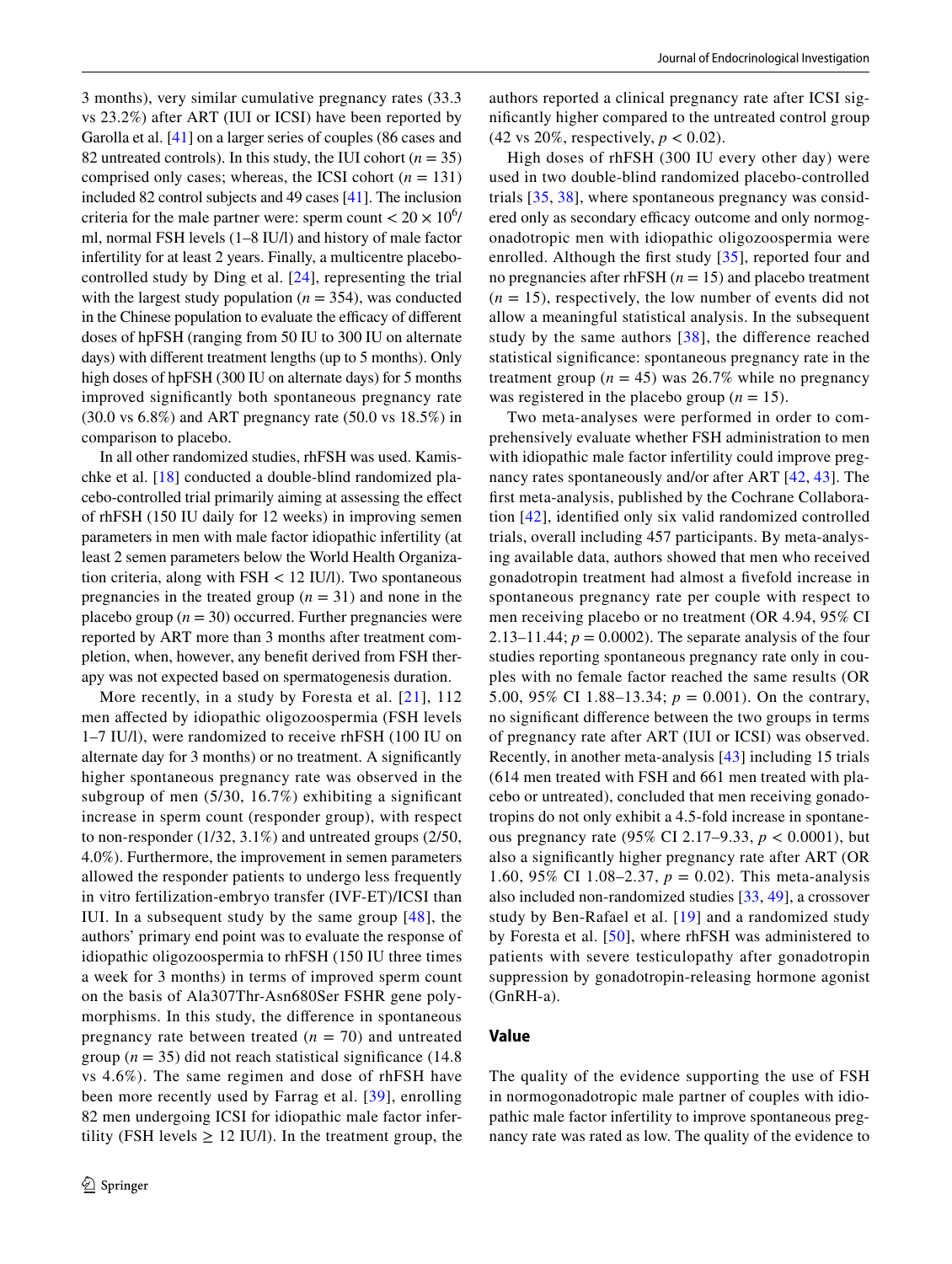3 months), very similar cumulative pregnancy rates (33.3 vs 23.2%) after ART (IUI or ICSI) have been reported by Garolla et al. [[41\]](#page-13-4) on a larger series of couples (86 cases and 82 untreated controls). In this study, the IUI cohort  $(n = 35)$ comprised only cases; whereas, the ICSI cohort  $(n = 131)$ included 82 control subjects and 49 cases [[41\]](#page-13-4). The inclusion criteria for the male partner were: sperm count  $< 20 \times 10^6$ / ml, normal FSH levels (1–8 IU/l) and history of male factor infertility for at least 2 years. Finally, a multicentre placebocontrolled study by Ding et al. [[24](#page-13-0)], representing the trial with the largest study population  $(n = 354)$ , was conducted in the Chinese population to evaluate the efficacy of different doses of hpFSH (ranging from 50 IU to 300 IU on alternate days) with diferent treatment lengths (up to 5 months). Only high doses of hpFSH (300 IU on alternate days) for 5 months improved signifcantly both spontaneous pregnancy rate (30.0 vs 6.8%) and ART pregnancy rate (50.0 vs 18.5%) in comparison to placebo.

In all other randomized studies, rhFSH was used. Kamischke et al. [\[18](#page-13-22)] conducted a double-blind randomized placebo-controlled trial primarily aiming at assessing the efect of rhFSH (150 IU daily for 12 weeks) in improving semen parameters in men with male factor idiopathic infertility (at least 2 semen parameters below the World Health Organization criteria, along with FSH < 12 IU/l). Two spontaneous pregnancies in the treated group  $(n = 31)$  and none in the placebo group  $(n = 30)$  occurred. Further pregnancies were reported by ART more than 3 months after treatment completion, when, however, any beneft derived from FSH therapy was not expected based on spermatogenesis duration.

More recently, in a study by Foresta et al. [[21\]](#page-13-3), 112 men afected by idiopathic oligozoospermia (FSH levels 1–7 IU/l), were randomized to receive rhFSH (100 IU on alternate day for 3 months) or no treatment. A signifcantly higher spontaneous pregnancy rate was observed in the subgroup of men (5/30, 16.7%) exhibiting a signifcant increase in sperm count (responder group), with respect to non-responder (1/32, 3.1%) and untreated groups (2/50, 4.0%). Furthermore, the improvement in semen parameters allowed the responder patients to undergo less frequently in vitro fertilization-embryo transfer (IVF-ET)/ICSI than IUI. In a subsequent study by the same group [[48\]](#page-14-1), the authors' primary end point was to evaluate the response of idiopathic oligozoospermia to rhFSH (150 IU three times a week for 3 months) in terms of improved sperm count on the basis of Ala307Thr-Asn680Ser FSHR gene polymorphisms. In this study, the diference in spontaneous pregnancy rate between treated  $(n = 70)$  and untreated group ( $n = 35$ ) did not reach statistical significance (14.8) vs 4.6%). The same regimen and dose of rhFSH have been more recently used by Farrag et al. [[39](#page-13-27)], enrolling 82 men undergoing ICSI for idiopathic male factor infertility (FSH levels  $\geq$  12 IU/l). In the treatment group, the

authors reported a clinical pregnancy rate after ICSI signifcantly higher compared to the untreated control group (42 vs 20%, respectively, *p* < 0.02).

High doses of rhFSH (300 IU every other day) were used in two double-blind randomized placebo-controlled trials [\[35,](#page-13-23) [38](#page-13-24)], where spontaneous pregnancy was considered only as secondary efficacy outcome and only normogonadotropic men with idiopathic oligozoospermia were enrolled. Although the frst study [[35](#page-13-23)], reported four and no pregnancies after rhFSH (*n* = 15) and placebo treatment  $(n = 15)$ , respectively, the low number of events did not allow a meaningful statistical analysis. In the subsequent study by the same authors [[38](#page-13-24)], the diference reached statistical signifcance: spontaneous pregnancy rate in the treatment group ( $n = 45$ ) was 26.7% while no pregnancy was registered in the placebo group  $(n = 15)$ .

Two meta-analyses were performed in order to comprehensively evaluate whether FSH administration to men with idiopathic male factor infertility could improve pregnancy rates spontaneously and/or after ART [[42](#page-13-5), [43\]](#page-13-6). The frst meta-analysis, published by the Cochrane Collaboration [[42](#page-13-5)], identifed only six valid randomized controlled trials, overall including 457 participants. By meta-analysing available data, authors showed that men who received gonadotropin treatment had almost a fvefold increase in spontaneous pregnancy rate per couple with respect to men receiving placebo or no treatment (OR 4.94, 95% CI 2.13–11.44;  $p = 0.0002$ ). The separate analysis of the four studies reporting spontaneous pregnancy rate only in couples with no female factor reached the same results (OR 5.00, 95% CI 1.88–13.34;  $p = 0.001$ ). On the contrary, no signifcant diference between the two groups in terms of pregnancy rate after ART (IUI or ICSI) was observed. Recently, in another meta-analysis [[43](#page-13-6)] including 15 trials (614 men treated with FSH and 661 men treated with placebo or untreated), concluded that men receiving gonadotropins do not only exhibit a 4.5-fold increase in spontaneous pregnancy rate (95% CI 2.17–9.33, *p* < 0.0001), but also a signifcantly higher pregnancy rate after ART (OR 1.60, 95% CI 1.08–2.37, *p* = 0.02). This meta-analysis also included non-randomized studies [\[33,](#page-13-15) [49\]](#page-14-2), a crossover study by Ben-Rafael et al. [[19\]](#page-13-28) and a randomized study by Foresta et al. [[50](#page-14-3)], where rhFSH was administered to patients with severe testiculopathy after gonadotropin suppression by gonadotropin-releasing hormone agonist (GnRH-a).

### **Value**

The quality of the evidence supporting the use of FSH in normogonadotropic male partner of couples with idiopathic male factor infertility to improve spontaneous pregnancy rate was rated as low. The quality of the evidence to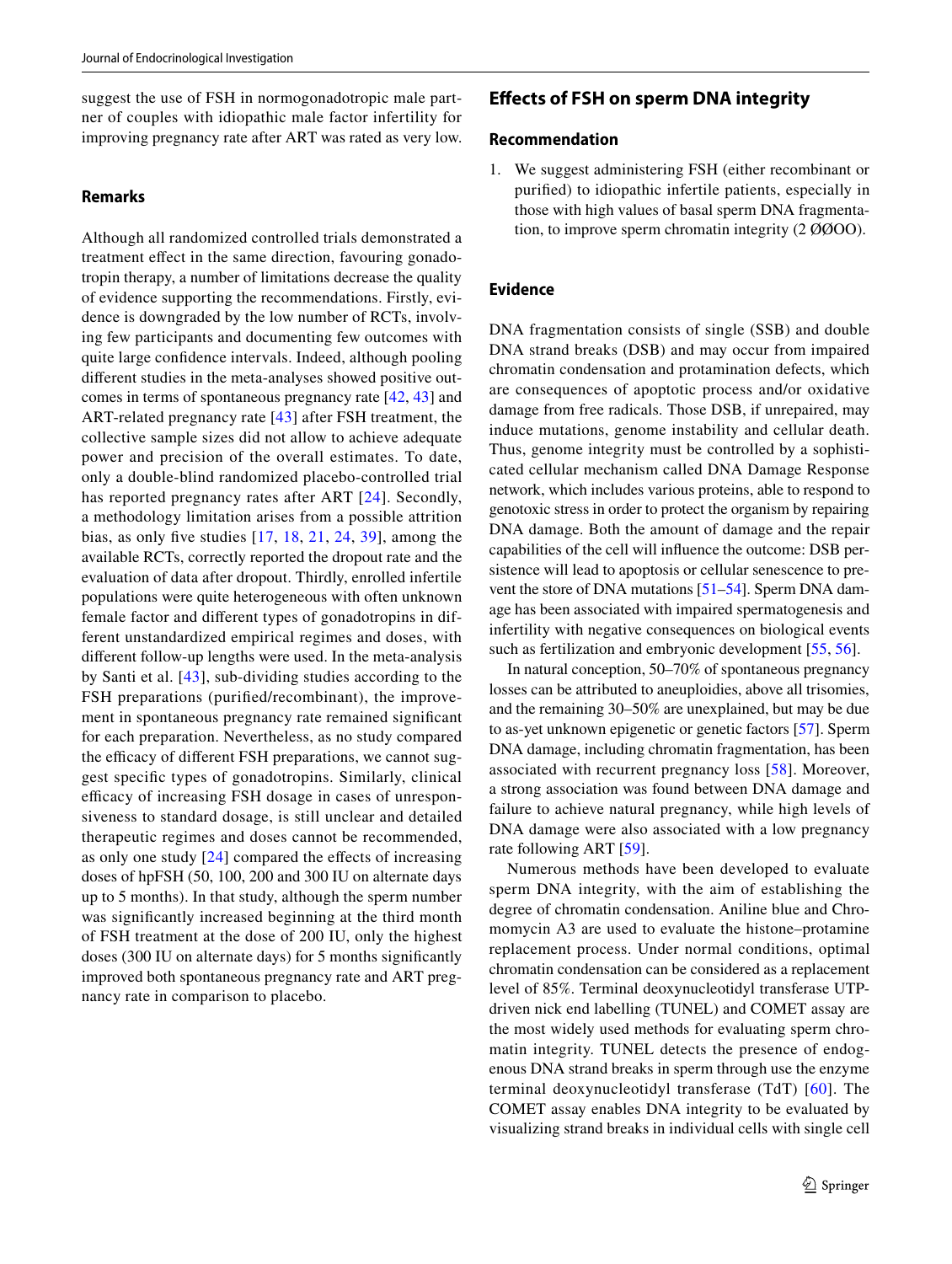suggest the use of FSH in normogonadotropic male partner of couples with idiopathic male factor infertility for improving pregnancy rate after ART was rated as very low.

#### **Remarks**

Although all randomized controlled trials demonstrated a treatment efect in the same direction, favouring gonadotropin therapy, a number of limitations decrease the quality of evidence supporting the recommendations. Firstly, evidence is downgraded by the low number of RCTs, involving few participants and documenting few outcomes with quite large confdence intervals. Indeed, although pooling diferent studies in the meta-analyses showed positive outcomes in terms of spontaneous pregnancy rate [[42,](#page-13-5) [43\]](#page-13-6) and ART-related pregnancy rate [[43](#page-13-6)] after FSH treatment, the collective sample sizes did not allow to achieve adequate power and precision of the overall estimates. To date, only a double-blind randomized placebo-controlled trial has reported pregnancy rates after ART [[24](#page-13-0)]. Secondly, a methodology limitation arises from a possible attrition bias, as only fve studies [[17](#page-13-26), [18,](#page-13-22) [21,](#page-13-3) [24,](#page-13-0) [39\]](#page-13-27), among the available RCTs, correctly reported the dropout rate and the evaluation of data after dropout. Thirdly, enrolled infertile populations were quite heterogeneous with often unknown female factor and diferent types of gonadotropins in different unstandardized empirical regimes and doses, with diferent follow-up lengths were used. In the meta-analysis by Santi et al. [[43](#page-13-6)], sub-dividing studies according to the FSH preparations (purifed/recombinant), the improvement in spontaneous pregnancy rate remained signifcant for each preparation. Nevertheless, as no study compared the efficacy of different FSH preparations, we cannot suggest specifc types of gonadotropins. Similarly, clinical efficacy of increasing FSH dosage in cases of unresponsiveness to standard dosage, is still unclear and detailed therapeutic regimes and doses cannot be recommended, as only one study  $[24]$  $[24]$  $[24]$  compared the effects of increasing doses of hpFSH (50, 100, 200 and 300 IU on alternate days up to 5 months). In that study, although the sperm number was signifcantly increased beginning at the third month of FSH treatment at the dose of 200 IU, only the highest doses (300 IU on alternate days) for 5 months signifcantly improved both spontaneous pregnancy rate and ART pregnancy rate in comparison to placebo.

# **Efects of FSH on sperm DNA integrity**

### **Recommendation**

1. We suggest administering FSH (either recombinant or purifed) to idiopathic infertile patients, especially in those with high values of basal sperm DNA fragmentation, to improve sperm chromatin integrity (2 ØØOO).

# **Evidence**

DNA fragmentation consists of single (SSB) and double DNA strand breaks (DSB) and may occur from impaired chromatin condensation and protamination defects, which are consequences of apoptotic process and/or oxidative damage from free radicals. Those DSB, if unrepaired, may induce mutations, genome instability and cellular death. Thus, genome integrity must be controlled by a sophisticated cellular mechanism called DNA Damage Response network, which includes various proteins, able to respond to genotoxic stress in order to protect the organism by repairing DNA damage. Both the amount of damage and the repair capabilities of the cell will infuence the outcome: DSB persistence will lead to apoptosis or cellular senescence to prevent the store of DNA mutations [\[51](#page-14-4)[–54](#page-14-5)]. Sperm DNA damage has been associated with impaired spermatogenesis and infertility with negative consequences on biological events such as fertilization and embryonic development [[55,](#page-14-6) [56\]](#page-14-7).

In natural conception, 50–70% of spontaneous pregnancy losses can be attributed to aneuploidies, above all trisomies, and the remaining 30–50% are unexplained, but may be due to as-yet unknown epigenetic or genetic factors [[57\]](#page-14-8). Sperm DNA damage, including chromatin fragmentation, has been associated with recurrent pregnancy loss [\[58\]](#page-14-9). Moreover, a strong association was found between DNA damage and failure to achieve natural pregnancy, while high levels of DNA damage were also associated with a low pregnancy rate following ART [[59\]](#page-14-10).

Numerous methods have been developed to evaluate sperm DNA integrity, with the aim of establishing the degree of chromatin condensation. Aniline blue and Chromomycin A3 are used to evaluate the histone–protamine replacement process. Under normal conditions, optimal chromatin condensation can be considered as a replacement level of 85%. Terminal deoxynucleotidyl transferase UTPdriven nick end labelling (TUNEL) and COMET assay are the most widely used methods for evaluating sperm chromatin integrity. TUNEL detects the presence of endogenous DNA strand breaks in sperm through use the enzyme terminal deoxynucleotidyl transferase (TdT) [[60\]](#page-14-11). The COMET assay enables DNA integrity to be evaluated by visualizing strand breaks in individual cells with single cell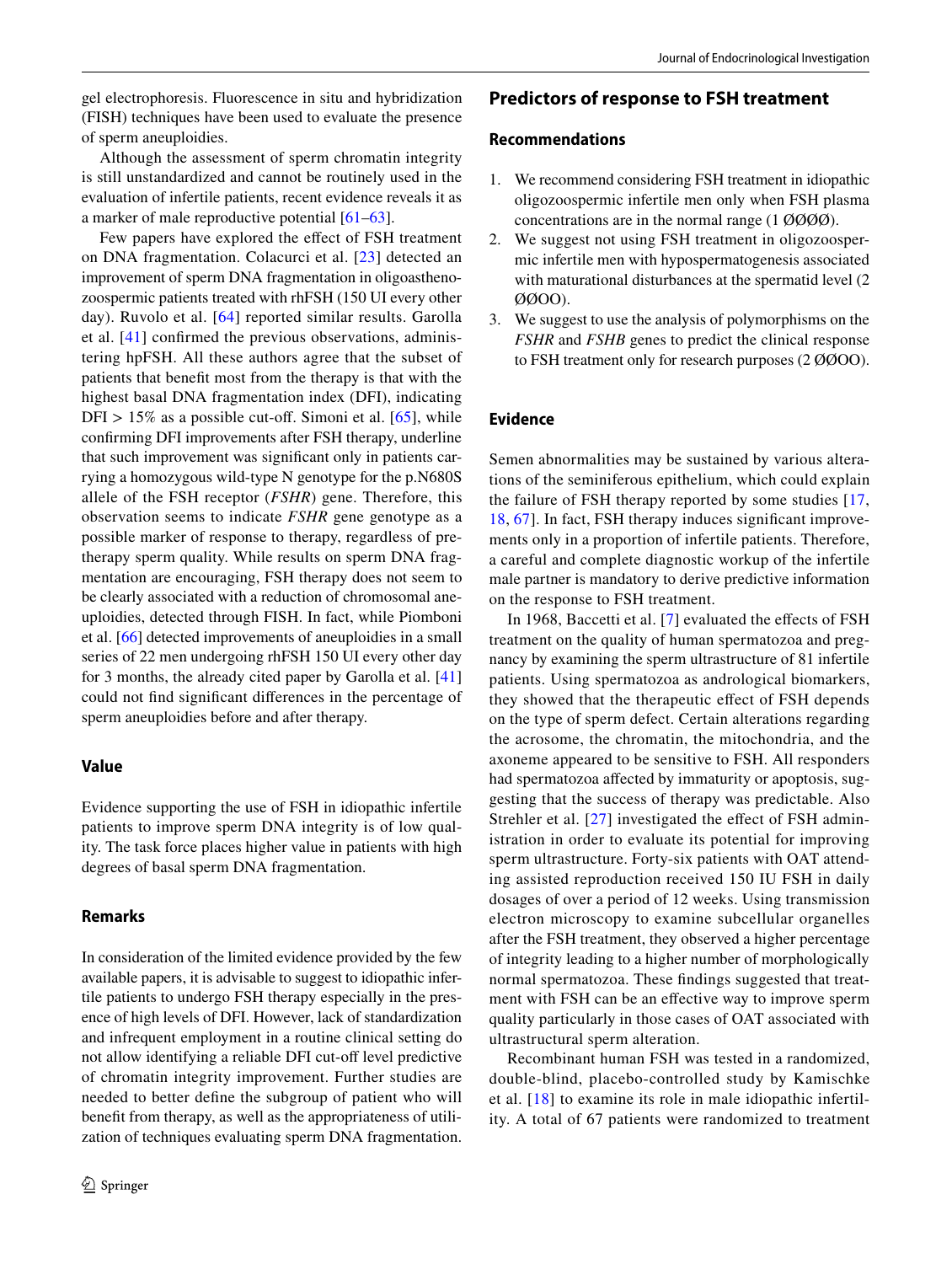gel electrophoresis. Fluorescence in situ and hybridization (FISH) techniques have been used to evaluate the presence of sperm aneuploidies.

Although the assessment of sperm chromatin integrity is still unstandardized and cannot be routinely used in the evaluation of infertile patients, recent evidence reveals it as a marker of male reproductive potential [\[61](#page-14-12)[–63](#page-14-13)].

Few papers have explored the effect of FSH treatment on DNA fragmentation. Colacurci et al. [[23](#page-13-14)] detected an improvement of sperm DNA fragmentation in oligoasthenozoospermic patients treated with rhFSH (150 UI every other day). Ruvolo et al. [[64\]](#page-14-14) reported similar results. Garolla et al. [\[41\]](#page-13-4) confrmed the previous observations, administering hpFSH. All these authors agree that the subset of patients that beneft most from the therapy is that with the highest basal DNA fragmentation index (DFI), indicating DFI >  $15\%$  as a possible cut-off. Simoni et al. [\[65\]](#page-14-15), while confrming DFI improvements after FSH therapy, underline that such improvement was signifcant only in patients carrying a homozygous wild-type N genotype for the p.N680S allele of the FSH receptor (*FSHR*) gene. Therefore, this observation seems to indicate *FSHR* gene genotype as a possible marker of response to therapy, regardless of pretherapy sperm quality. While results on sperm DNA fragmentation are encouraging, FSH therapy does not seem to be clearly associated with a reduction of chromosomal aneuploidies, detected through FISH. In fact, while Piomboni et al. [[66\]](#page-14-16) detected improvements of aneuploidies in a small series of 22 men undergoing rhFSH 150 UI every other day for 3 months, the already cited paper by Garolla et al. [[41\]](#page-13-4) could not fnd signifcant diferences in the percentage of sperm aneuploidies before and after therapy.

### **Value**

Evidence supporting the use of FSH in idiopathic infertile patients to improve sperm DNA integrity is of low quality. The task force places higher value in patients with high degrees of basal sperm DNA fragmentation.

# **Remarks**

In consideration of the limited evidence provided by the few available papers, it is advisable to suggest to idiopathic infertile patients to undergo FSH therapy especially in the presence of high levels of DFI. However, lack of standardization and infrequent employment in a routine clinical setting do not allow identifying a reliable DFI cut-off level predictive of chromatin integrity improvement. Further studies are needed to better defne the subgroup of patient who will beneft from therapy, as well as the appropriateness of utilization of techniques evaluating sperm DNA fragmentation.

# **Predictors of response to FSH treatment**

### **Recommendations**

- 1. We recommend considering FSH treatment in idiopathic oligozoospermic infertile men only when FSH plasma concentrations are in the normal range (1 ØØØØ).
- 2. We suggest not using FSH treatment in oligozoospermic infertile men with hypospermatogenesis associated with maturational disturbances at the spermatid level (2 ØØOO).
- 3. We suggest to use the analysis of polymorphisms on the *FSHR* and *FSHB* genes to predict the clinical response to FSH treatment only for research purposes (2 ØØOO).

# **Evidence**

Semen abnormalities may be sustained by various alterations of the seminiferous epithelium, which could explain the failure of FSH therapy reported by some studies [\[17,](#page-13-26) [18](#page-13-22), [67\]](#page-14-17). In fact, FSH therapy induces signifcant improvements only in a proportion of infertile patients. Therefore, a careful and complete diagnostic workup of the infertile male partner is mandatory to derive predictive information on the response to FSH treatment.

In 1968, Baccetti et al. [[7\]](#page-12-5) evaluated the effects of FSH treatment on the quality of human spermatozoa and pregnancy by examining the sperm ultrastructure of 81 infertile patients. Using spermatozoa as andrological biomarkers, they showed that the therapeutic efect of FSH depends on the type of sperm defect. Certain alterations regarding the acrosome, the chromatin, the mitochondria, and the axoneme appeared to be sensitive to FSH. All responders had spermatozoa afected by immaturity or apoptosis, suggesting that the success of therapy was predictable. Also Strehler et al.  $[27]$  $[27]$  investigated the effect of FSH administration in order to evaluate its potential for improving sperm ultrastructure. Forty-six patients with OAT attending assisted reproduction received 150 IU FSH in daily dosages of over a period of 12 weeks. Using transmission electron microscopy to examine subcellular organelles after the FSH treatment, they observed a higher percentage of integrity leading to a higher number of morphologically normal spermatozoa. These fndings suggested that treatment with FSH can be an efective way to improve sperm quality particularly in those cases of OAT associated with ultrastructural sperm alteration.

Recombinant human FSH was tested in a randomized, double-blind, placebo-controlled study by Kamischke et al. [[18](#page-13-22)] to examine its role in male idiopathic infertility. A total of 67 patients were randomized to treatment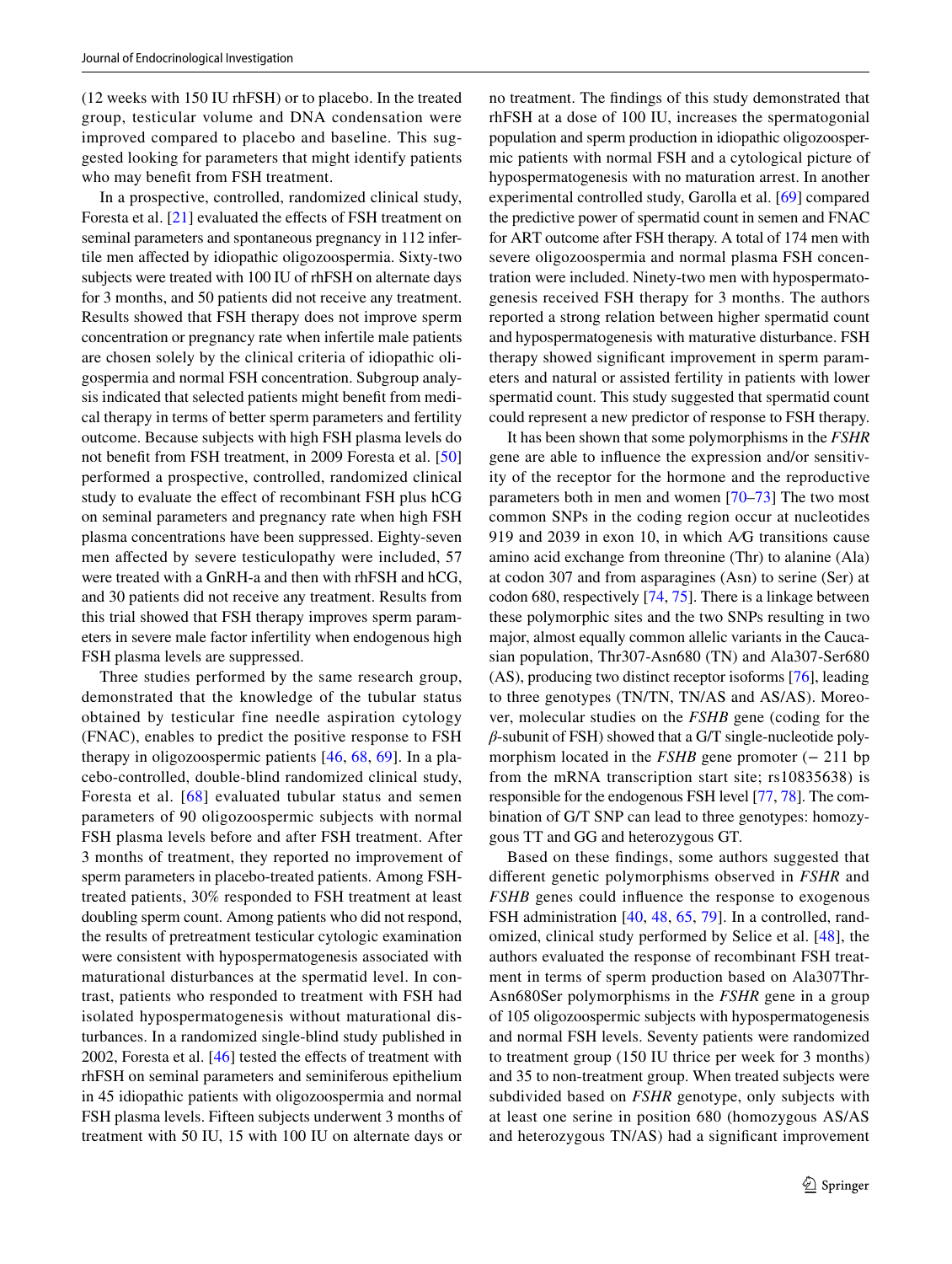(12 weeks with 150 IU rhFSH) or to placebo. In the treated group, testicular volume and DNA condensation were improved compared to placebo and baseline. This suggested looking for parameters that might identify patients who may beneft from FSH treatment.

In a prospective, controlled, randomized clinical study, Foresta et al. [[21\]](#page-13-3) evaluated the effects of FSH treatment on seminal parameters and spontaneous pregnancy in 112 infertile men afected by idiopathic oligozoospermia. Sixty-two subjects were treated with 100 IU of rhFSH on alternate days for 3 months, and 50 patients did not receive any treatment. Results showed that FSH therapy does not improve sperm concentration or pregnancy rate when infertile male patients are chosen solely by the clinical criteria of idiopathic oligospermia and normal FSH concentration. Subgroup analysis indicated that selected patients might beneft from medical therapy in terms of better sperm parameters and fertility outcome. Because subjects with high FSH plasma levels do not beneft from FSH treatment, in 2009 Foresta et al. [[50\]](#page-14-3) performed a prospective, controlled, randomized clinical study to evaluate the efect of recombinant FSH plus hCG on seminal parameters and pregnancy rate when high FSH plasma concentrations have been suppressed. Eighty-seven men affected by severe testiculopathy were included, 57 were treated with a GnRH-a and then with rhFSH and hCG, and 30 patients did not receive any treatment. Results from this trial showed that FSH therapy improves sperm parameters in severe male factor infertility when endogenous high FSH plasma levels are suppressed.

Three studies performed by the same research group, demonstrated that the knowledge of the tubular status obtained by testicular fine needle aspiration cytology (FNAC), enables to predict the positive response to FSH therapy in oligozoospermic patients [\[46,](#page-13-16) [68](#page-14-0), [69\]](#page-14-18). In a placebo-controlled, double-blind randomized clinical study, Foresta et al. [[68](#page-14-0)] evaluated tubular status and semen parameters of 90 oligozoospermic subjects with normal FSH plasma levels before and after FSH treatment. After 3 months of treatment, they reported no improvement of sperm parameters in placebo-treated patients. Among FSHtreated patients, 30% responded to FSH treatment at least doubling sperm count. Among patients who did not respond, the results of pretreatment testicular cytologic examination were consistent with hypospermatogenesis associated with maturational disturbances at the spermatid level. In contrast, patients who responded to treatment with FSH had isolated hypospermatogenesis without maturational disturbances. In a randomized single-blind study published in 2002, Foresta et al.  $[46]$  $[46]$  tested the effects of treatment with rhFSH on seminal parameters and seminiferous epithelium in 45 idiopathic patients with oligozoospermia and normal FSH plasma levels. Fifteen subjects underwent 3 months of treatment with 50 IU, 15 with 100 IU on alternate days or no treatment. The fndings of this study demonstrated that rhFSH at a dose of 100 IU, increases the spermatogonial population and sperm production in idiopathic oligozoospermic patients with normal FSH and a cytological picture of hypospermatogenesis with no maturation arrest. In another experimental controlled study, Garolla et al. [[69\]](#page-14-18) compared the predictive power of spermatid count in semen and FNAC for ART outcome after FSH therapy. A total of 174 men with severe oligozoospermia and normal plasma FSH concentration were included. Ninety-two men with hypospermatogenesis received FSH therapy for 3 months. The authors reported a strong relation between higher spermatid count and hypospermatogenesis with maturative disturbance. FSH therapy showed signifcant improvement in sperm parameters and natural or assisted fertility in patients with lower spermatid count. This study suggested that spermatid count could represent a new predictor of response to FSH therapy.

It has been shown that some polymorphisms in the *FSHR* gene are able to infuence the expression and/or sensitivity of the receptor for the hormone and the reproductive parameters both in men and women [\[70](#page-14-19)–[73\]](#page-14-20) The two most common SNPs in the coding region occur at nucleotides 919 and 2039 in exon 10, in which A⁄G transitions cause amino acid exchange from threonine (Thr) to alanine (Ala) at codon 307 and from asparagines (Asn) to serine (Ser) at codon 680, respectively [[74,](#page-14-21) [75\]](#page-14-22). There is a linkage between these polymorphic sites and the two SNPs resulting in two major, almost equally common allelic variants in the Caucasian population, Thr307-Asn680 (TN) and Ala307-Ser680 (AS), producing two distinct receptor isoforms [[76\]](#page-14-23), leading to three genotypes (TN/TN, TN/AS and AS/AS). Moreover, molecular studies on the *FSHB* gene (coding for the *β*-subunit of FSH) showed that a G/T single-nucleotide polymorphism located in the *FSHB* gene promoter (− 211 bp from the mRNA transcription start site; rs10835638) is responsible for the endogenous FSH level [\[77](#page-14-24), [78\]](#page-14-25). The combination of G/T SNP can lead to three genotypes: homozygous TT and GG and heterozygous GT.

Based on these fndings, some authors suggested that diferent genetic polymorphisms observed in *FSHR* and *FSHB* genes could infuence the response to exogenous FSH administration [\[40](#page-13-12), [48,](#page-14-1) [65](#page-14-15), [79](#page-14-26)]. In a controlled, randomized, clinical study performed by Selice et al. [[48\]](#page-14-1), the authors evaluated the response of recombinant FSH treatment in terms of sperm production based on Ala307Thr-Asn680Ser polymorphisms in the *FSHR* gene in a group of 105 oligozoospermic subjects with hypospermatogenesis and normal FSH levels. Seventy patients were randomized to treatment group (150 IU thrice per week for 3 months) and 35 to non-treatment group. When treated subjects were subdivided based on *FSHR* genotype, only subjects with at least one serine in position 680 (homozygous AS/AS and heterozygous TN/AS) had a signifcant improvement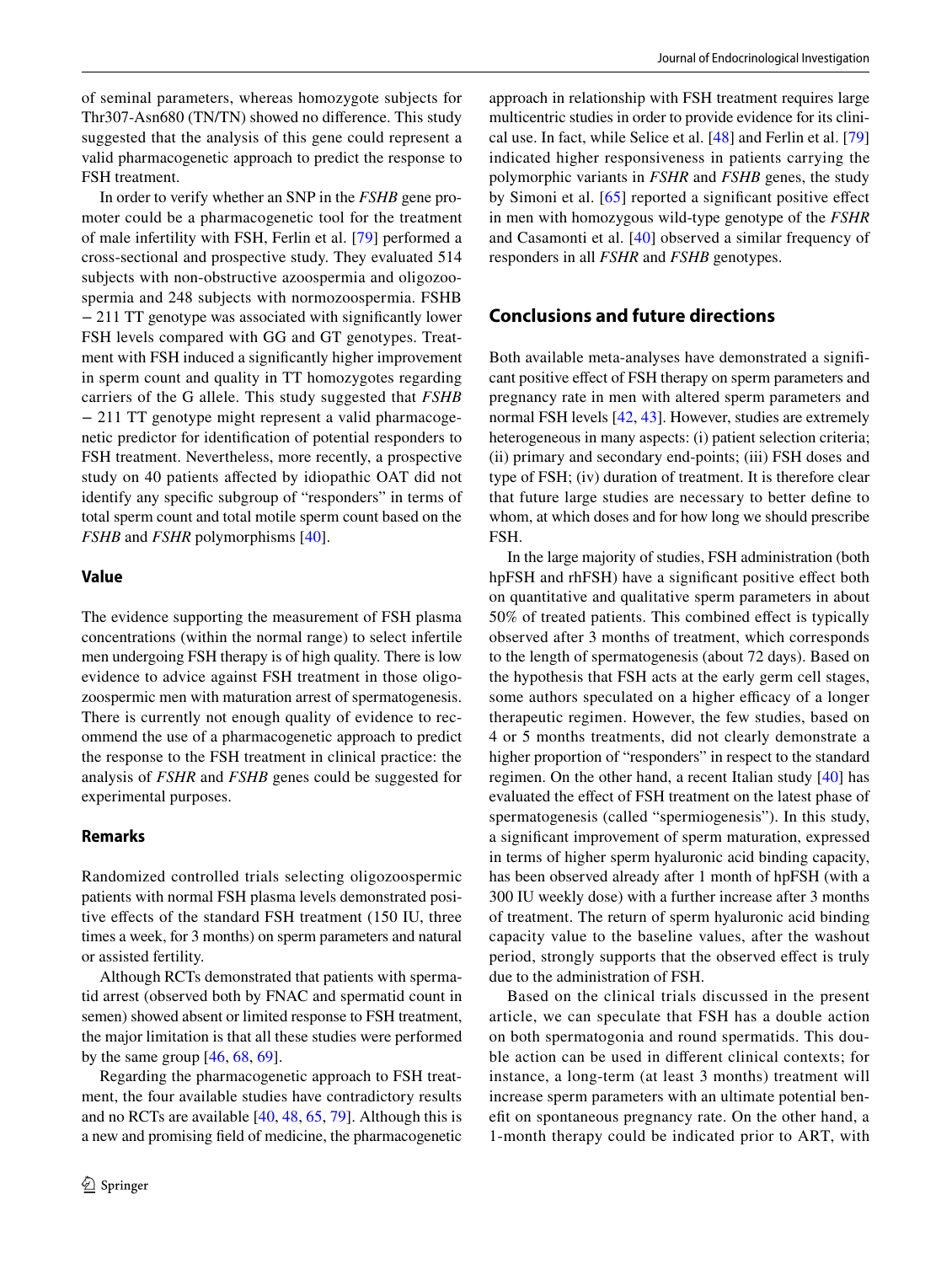of seminal parameters, whereas homozygote subjects for Thr307-Asn680 (TN/TN) showed no diference. This study suggested that the analysis of this gene could represent a valid pharmacogenetic approach to predict the response to FSH treatment.

In order to verify whether an SNP in the *FSHB* gene promoter could be a pharmacogenetic tool for the treatment of male infertility with FSH, Ferlin et al. [\[79\]](#page-14-26) performed a cross-sectional and prospective study. They evaluated 514 subjects with non-obstructive azoospermia and oligozoospermia and 248 subjects with normozoospermia. FSHB − 211 TT genotype was associated with signifcantly lower FSH levels compared with GG and GT genotypes. Treatment with FSH induced a signifcantly higher improvement in sperm count and quality in TT homozygotes regarding carriers of the G allele. This study suggested that *FSHB* − 211 TT genotype might represent a valid pharmacogenetic predictor for identifcation of potential responders to FSH treatment. Nevertheless, more recently, a prospective study on 40 patients afected by idiopathic OAT did not identify any specifc subgroup of "responders" in terms of total sperm count and total motile sperm count based on the *FSHB* and *FSHR* polymorphisms [[40\]](#page-13-12).

#### **Value**

The evidence supporting the measurement of FSH plasma concentrations (within the normal range) to select infertile men undergoing FSH therapy is of high quality. There is low evidence to advice against FSH treatment in those oligozoospermic men with maturation arrest of spermatogenesis. There is currently not enough quality of evidence to recommend the use of a pharmacogenetic approach to predict the response to the FSH treatment in clinical practice: the analysis of *FSHR* and *FSHB* genes could be suggested for experimental purposes.

#### **Remarks**

Randomized controlled trials selecting oligozoospermic patients with normal FSH plasma levels demonstrated positive efects of the standard FSH treatment (150 IU, three times a week, for 3 months) on sperm parameters and natural or assisted fertility.

Although RCTs demonstrated that patients with spermatid arrest (observed both by FNAC and spermatid count in semen) showed absent or limited response to FSH treatment, the major limitation is that all these studies were performed by the same group  $[46, 68, 69]$  $[46, 68, 69]$  $[46, 68, 69]$  $[46, 68, 69]$  $[46, 68, 69]$  $[46, 68, 69]$ .

Regarding the pharmacogenetic approach to FSH treatment, the four available studies have contradictory results and no RCTs are available [[40,](#page-13-12) [48,](#page-14-1) [65,](#page-14-15) [79\]](#page-14-26). Although this is a new and promising feld of medicine, the pharmacogenetic approach in relationship with FSH treatment requires large multicentric studies in order to provide evidence for its clinical use. In fact, while Selice et al. [\[48\]](#page-14-1) and Ferlin et al. [[79\]](#page-14-26) indicated higher responsiveness in patients carrying the polymorphic variants in *FSHR* and *FSHB* genes, the study by Simoni et al. [[65\]](#page-14-15) reported a significant positive effect in men with homozygous wild-type genotype of the *FSHR* and Casamonti et al. [[40](#page-13-12)] observed a similar frequency of responders in all *FSHR* and *FSHB* genotypes.

# **Conclusions and future directions**

Both available meta-analyses have demonstrated a signifcant positive efect of FSH therapy on sperm parameters and pregnancy rate in men with altered sperm parameters and normal FSH levels [\[42](#page-13-5), [43](#page-13-6)]. However, studies are extremely heterogeneous in many aspects: (i) patient selection criteria; (ii) primary and secondary end-points; (iii) FSH doses and type of FSH; (iv) duration of treatment. It is therefore clear that future large studies are necessary to better defne to whom, at which doses and for how long we should prescribe FSH.

In the large majority of studies, FSH administration (both hpFSH and rhFSH) have a signifcant positive efect both on quantitative and qualitative sperm parameters in about 50% of treated patients. This combined efect is typically observed after 3 months of treatment, which corresponds to the length of spermatogenesis (about 72 days). Based on the hypothesis that FSH acts at the early germ cell stages, some authors speculated on a higher efficacy of a longer therapeutic regimen. However, the few studies, based on 4 or 5 months treatments, did not clearly demonstrate a higher proportion of "responders" in respect to the standard regimen. On the other hand, a recent Italian study [[40\]](#page-13-12) has evaluated the efect of FSH treatment on the latest phase of spermatogenesis (called "spermiogenesis"). In this study, a signifcant improvement of sperm maturation, expressed in terms of higher sperm hyaluronic acid binding capacity, has been observed already after 1 month of hpFSH (with a 300 IU weekly dose) with a further increase after 3 months of treatment. The return of sperm hyaluronic acid binding capacity value to the baseline values, after the washout period, strongly supports that the observed efect is truly due to the administration of FSH.

Based on the clinical trials discussed in the present article, we can speculate that FSH has a double action on both spermatogonia and round spermatids. This double action can be used in diferent clinical contexts; for instance, a long-term (at least 3 months) treatment will increase sperm parameters with an ultimate potential beneft on spontaneous pregnancy rate. On the other hand, a 1-month therapy could be indicated prior to ART, with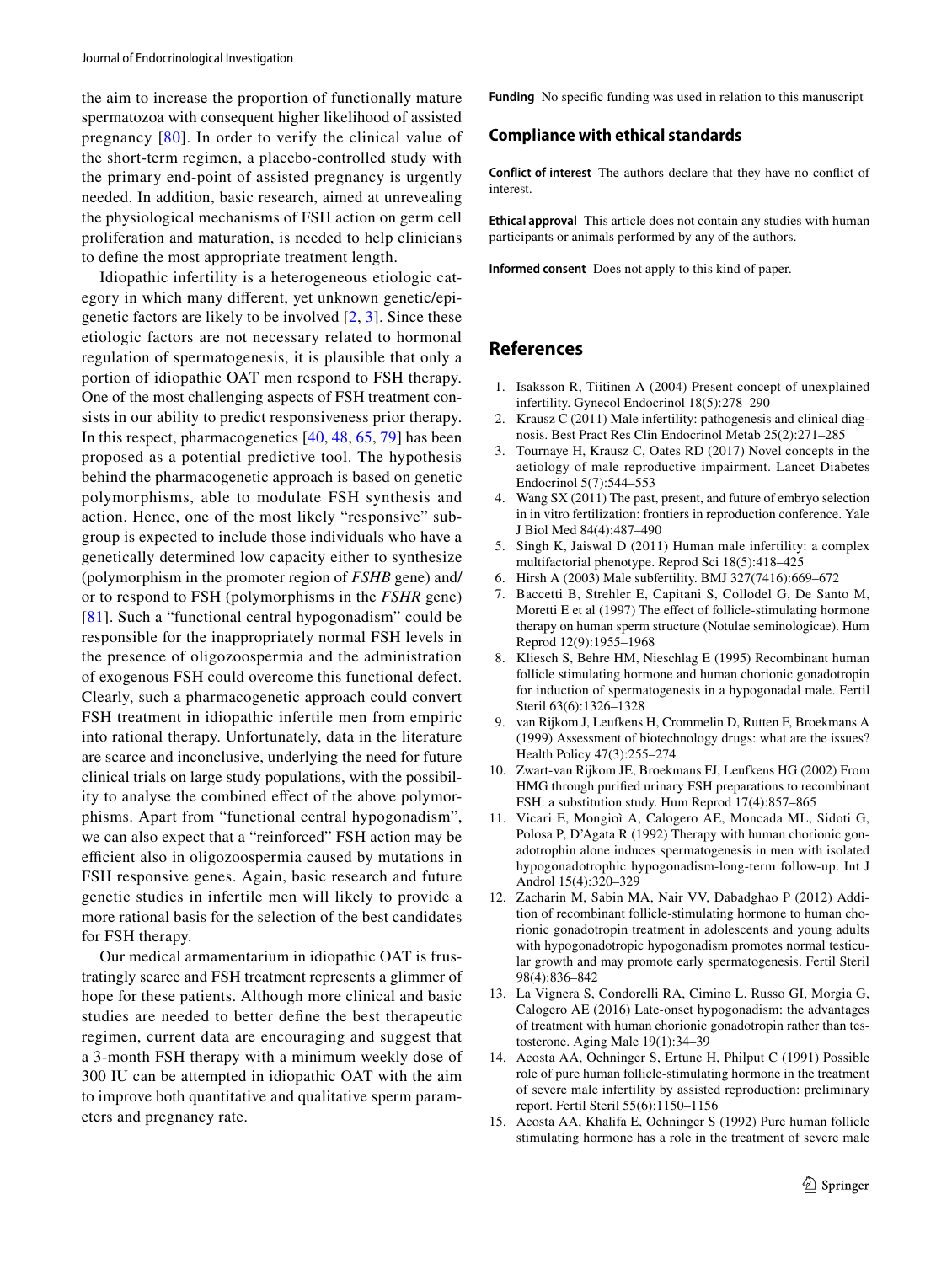the aim to increase the proportion of functionally mature spermatozoa with consequent higher likelihood of assisted pregnancy [[80](#page-14-27)]. In order to verify the clinical value of the short-term regimen, a placebo-controlled study with the primary end-point of assisted pregnancy is urgently needed. In addition, basic research, aimed at unrevealing the physiological mechanisms of FSH action on germ cell proliferation and maturation, is needed to help clinicians to defne the most appropriate treatment length.

Idiopathic infertility is a heterogeneous etiologic category in which many diferent, yet unknown genetic/epigenetic factors are likely to be involved  $[2, 3]$  $[2, 3]$  $[2, 3]$ . Since these etiologic factors are not necessary related to hormonal regulation of spermatogenesis, it is plausible that only a portion of idiopathic OAT men respond to FSH therapy. One of the most challenging aspects of FSH treatment consists in our ability to predict responsiveness prior therapy. In this respect, pharmacogenetics [[40,](#page-13-12) [48,](#page-14-1) [65](#page-14-15), [79](#page-14-26)] has been proposed as a potential predictive tool. The hypothesis behind the pharmacogenetic approach is based on genetic polymorphisms, able to modulate FSH synthesis and action. Hence, one of the most likely "responsive" subgroup is expected to include those individuals who have a genetically determined low capacity either to synthesize (polymorphism in the promoter region of *FSHB* gene) and/ or to respond to FSH (polymorphisms in the *FSHR* gene) [[81\]](#page-14-28). Such a "functional central hypogonadism" could be responsible for the inappropriately normal FSH levels in the presence of oligozoospermia and the administration of exogenous FSH could overcome this functional defect. Clearly, such a pharmacogenetic approach could convert FSH treatment in idiopathic infertile men from empiric into rational therapy. Unfortunately, data in the literature are scarce and inconclusive, underlying the need for future clinical trials on large study populations, with the possibility to analyse the combined efect of the above polymorphisms. Apart from "functional central hypogonadism", we can also expect that a "reinforced" FSH action may be efficient also in oligozoospermia caused by mutations in FSH responsive genes. Again, basic research and future genetic studies in infertile men will likely to provide a more rational basis for the selection of the best candidates for FSH therapy.

Our medical armamentarium in idiopathic OAT is frustratingly scarce and FSH treatment represents a glimmer of hope for these patients. Although more clinical and basic studies are needed to better defne the best therapeutic regimen, current data are encouraging and suggest that a 3-month FSH therapy with a minimum weekly dose of 300 IU can be attempted in idiopathic OAT with the aim to improve both quantitative and qualitative sperm parameters and pregnancy rate.

**Funding** No specifc funding was used in relation to this manuscript

# **Compliance with ethical standards**

**Conflict of interest** The authors declare that they have no confict of interest.

**Ethical approval** This article does not contain any studies with human participants or animals performed by any of the authors.

**Informed consent** Does not apply to this kind of paper.

# **References**

- <span id="page-12-0"></span>1. Isaksson R, Tiitinen A (2004) Present concept of unexplained infertility. Gynecol Endocrinol 18(5):278–290
- <span id="page-12-1"></span>2. Krausz C (2011) Male infertility: pathogenesis and clinical diagnosis. Best Pract Res Clin Endocrinol Metab 25(2):271–285
- <span id="page-12-2"></span>3. Tournaye H, Krausz C, Oates RD (2017) Novel concepts in the aetiology of male reproductive impairment. Lancet Diabetes Endocrinol 5(7):544–553
- 4. Wang SX (2011) The past, present, and future of embryo selection in in vitro fertilization: frontiers in reproduction conference. Yale J Biol Med 84(4):487–490
- <span id="page-12-3"></span>5. Singh K, Jaiswal D (2011) Human male infertility: a complex multifactorial phenotype. Reprod Sci 18(5):418–425
- <span id="page-12-4"></span>6. Hirsh A (2003) Male subfertility. BMJ 327(7416):669–672
- <span id="page-12-5"></span>Baccetti B, Strehler E, Capitani S, Collodel G, De Santo M, Moretti E et al (1997) The effect of follicle-stimulating hormone therapy on human sperm structure (Notulae seminologicae). Hum Reprod 12(9):1955–1968
- <span id="page-12-6"></span>8. Kliesch S, Behre HM, Nieschlag E (1995) Recombinant human follicle stimulating hormone and human chorionic gonadotropin for induction of spermatogenesis in a hypogonadal male. Fertil Steril 63(6):1326–1328
- <span id="page-12-7"></span>9. van Rijkom J, Leufkens H, Crommelin D, Rutten F, Broekmans A (1999) Assessment of biotechnology drugs: what are the issues? Health Policy 47(3):255–274
- <span id="page-12-8"></span>10. Zwart-van Rijkom JE, Broekmans FJ, Leufkens HG (2002) From HMG through purifed urinary FSH preparations to recombinant FSH: a substitution study. Hum Reprod 17(4):857–865
- <span id="page-12-9"></span>11. Vicari E, Mongioì A, Calogero AE, Moncada ML, Sidoti G, Polosa P, D'Agata R (1992) Therapy with human chorionic gonadotrophin alone induces spermatogenesis in men with isolated hypogonadotrophic hypogonadism-long-term follow-up. Int J Androl 15(4):320–329
- <span id="page-12-10"></span>12. Zacharin M, Sabin MA, Nair VV, Dabadghao P (2012) Addition of recombinant follicle-stimulating hormone to human chorionic gonadotropin treatment in adolescents and young adults with hypogonadotropic hypogonadism promotes normal testicular growth and may promote early spermatogenesis. Fertil Steril 98(4):836–842
- <span id="page-12-11"></span>13. La Vignera S, Condorelli RA, Cimino L, Russo GI, Morgia G, Calogero AE (2016) Late-onset hypogonadism: the advantages of treatment with human chorionic gonadotropin rather than testosterone. Aging Male 19(1):34–39
- <span id="page-12-12"></span>14. Acosta AA, Oehninger S, Ertunc H, Philput C (1991) Possible role of pure human follicle-stimulating hormone in the treatment of severe male infertility by assisted reproduction: preliminary report. Fertil Steril 55(6):1150–1156
- <span id="page-12-13"></span>15. Acosta AA, Khalifa E, Oehninger S (1992) Pure human follicle stimulating hormone has a role in the treatment of severe male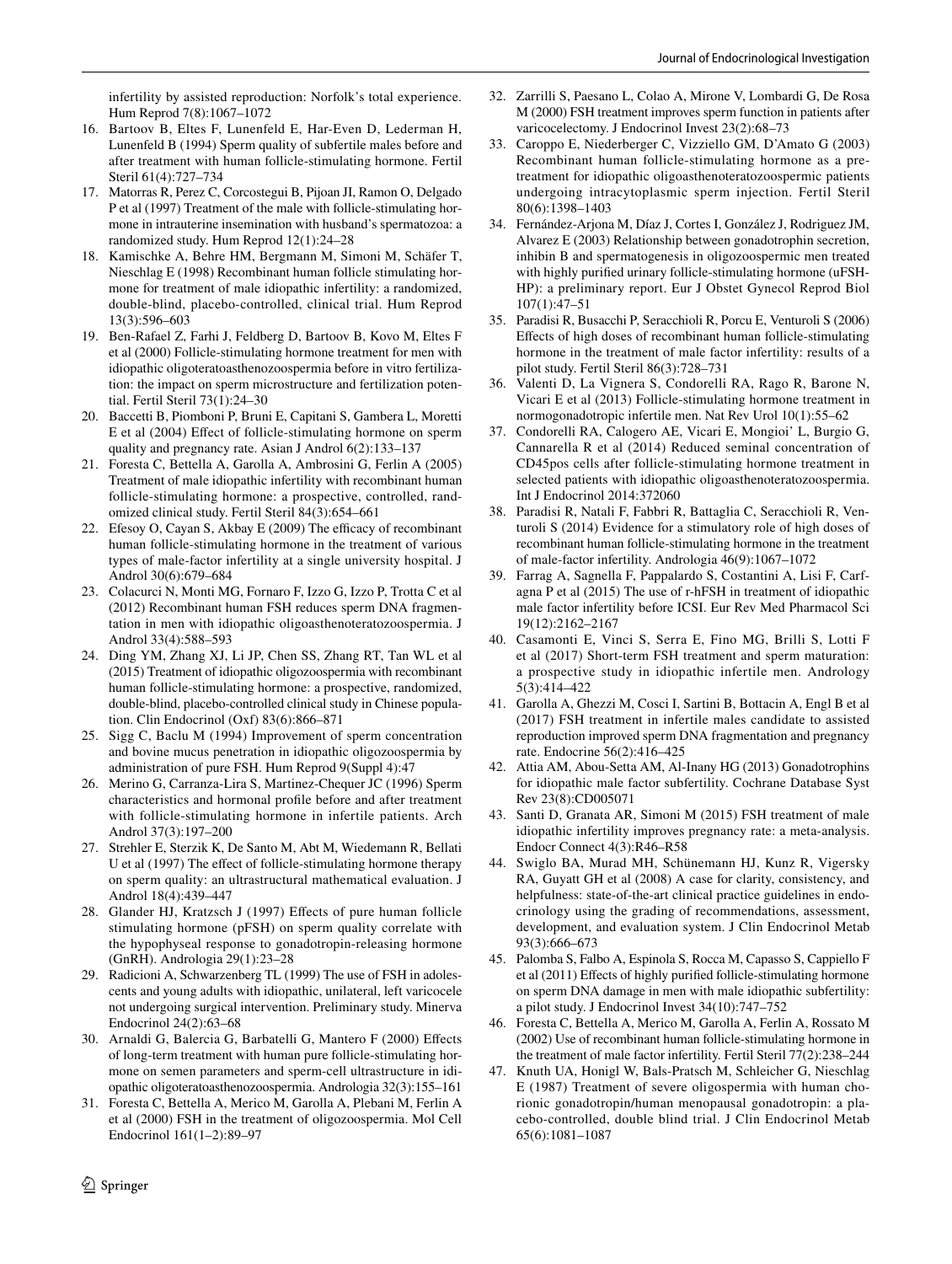infertility by assisted reproduction: Norfolk's total experience. Hum Reprod 7(8):1067–1072

- <span id="page-13-1"></span>16. Bartoov B, Eltes F, Lunenfeld E, Har-Even D, Lederman H, Lunenfeld B (1994) Sperm quality of subfertile males before and after treatment with human follicle-stimulating hormone. Fertil Steril 61(4):727–734
- <span id="page-13-26"></span>17. Matorras R, Perez C, Corcostegui B, Pijoan JI, Ramon O, Delgado P et al (1997) Treatment of the male with follicle-stimulating hormone in intrauterine insemination with husband's spermatozoa: a randomized study. Hum Reprod 12(1):24–28
- <span id="page-13-22"></span>18. Kamischke A, Behre HM, Bergmann M, Simoni M, Schäfer T, Nieschlag E (1998) Recombinant human follicle stimulating hormone for treatment of male idiopathic infertility: a randomized, double-blind, placebo-controlled, clinical trial. Hum Reprod 13(3):596–603
- <span id="page-13-28"></span>19. Ben-Rafael Z, Farhi J, Feldberg D, Bartoov B, Kovo M, Eltes F et al (2000) Follicle-stimulating hormone treatment for men with idiopathic oligoteratoasthenozoospermia before in vitro fertilization: the impact on sperm microstructure and fertilization potential. Fertil Steril 73(1):24–30
- <span id="page-13-2"></span>20. Baccetti B, Piomboni P, Bruni E, Capitani S, Gambera L, Moretti E et al (2004) Efect of follicle-stimulating hormone on sperm quality and pregnancy rate. Asian J Androl 6(2):133–137
- <span id="page-13-3"></span>21. Foresta C, Bettella A, Garolla A, Ambrosini G, Ferlin A (2005) Treatment of male idiopathic infertility with recombinant human follicle-stimulating hormone: a prospective, controlled, randomized clinical study. Fertil Steril 84(3):654–661
- <span id="page-13-19"></span>22. Efesoy O, Cayan S, Akbay E (2009) The efficacy of recombinant human follicle-stimulating hormone in the treatment of various types of male-factor infertility at a single university hospital. J Androl 30(6):679–684
- <span id="page-13-14"></span>23. Colacurci N, Monti MG, Fornaro F, Izzo G, Izzo P, Trotta C et al (2012) Recombinant human FSH reduces sperm DNA fragmentation in men with idiopathic oligoasthenoteratozoospermia. J Androl 33(4):588–593
- <span id="page-13-0"></span>24. Ding YM, Zhang XJ, Li JP, Chen SS, Zhang RT, Tan WL et al (2015) Treatment of idiopathic oligozoospermia with recombinant human follicle-stimulating hormone: a prospective, randomized, double-blind, placebo-controlled clinical study in Chinese population. Clin Endocrinol (Oxf) 83(6):866–871
- 25. Sigg C, Baclu M (1994) Improvement of sperm concentration and bovine mucus penetration in idiopathic oligozoospermia by administration of pure FSH. Hum Reprod 9(Suppl 4):47
- 26. Merino G, Carranza-Lira S, Martinez-Chequer JC (1996) Sperm characteristics and hormonal profle before and after treatment with follicle-stimulating hormone in infertile patients. Arch Androl 37(3):197–200
- <span id="page-13-21"></span>27. Strehler E, Sterzik K, De Santo M, Abt M, Wiedemann R, Bellati U et al (1997) The effect of follicle-stimulating hormone therapy on sperm quality: an ultrastructural mathematical evaluation. J Androl 18(4):439–447
- 28. Glander HJ, Kratzsch J (1997) Efects of pure human follicle stimulating hormone (pFSH) on sperm quality correlate with the hypophyseal response to gonadotropin-releasing hormone (GnRH). Andrologia 29(1):23–28
- <span id="page-13-9"></span>29. Radicioni A, Schwarzenberg TL (1999) The use of FSH in adolescents and young adults with idiopathic, unilateral, left varicocele not undergoing surgical intervention. Preliminary study. Minerva Endocrinol 24(2):63–68
- <span id="page-13-17"></span>30. Arnaldi G, Balercia G, Barbatelli G, Mantero F (2000) Efects of long-term treatment with human pure follicle-stimulating hormone on semen parameters and sperm-cell ultrastructure in idiopathic oligoteratoasthenozoospermia. Andrologia 32(3):155–161
- <span id="page-13-18"></span>31. Foresta C, Bettella A, Merico M, Garolla A, Plebani M, Ferlin A et al (2000) FSH in the treatment of oligozoospermia. Mol Cell Endocrinol 161(1–2):89–97
- <span id="page-13-10"></span>32. Zarrilli S, Paesano L, Colao A, Mirone V, Lombardi G, De Rosa M (2000) FSH treatment improves sperm function in patients after varicocelectomy. J Endocrinol Invest 23(2):68–73
- <span id="page-13-15"></span>33. Caroppo E, Niederberger C, Vizziello GM, D'Amato G (2003) Recombinant human follicle-stimulating hormone as a pretreatment for idiopathic oligoasthenoteratozoospermic patients undergoing intracytoplasmic sperm injection. Fertil Steril 80(6):1398–1403
- <span id="page-13-11"></span>34. Fernández-Arjona M, Díaz J, Cortes I, González J, Rodriguez JM, Alvarez E (2003) Relationship between gonadotrophin secretion, inhibin B and spermatogenesis in oligozoospermic men treated with highly purifed urinary follicle-stimulating hormone (uFSH-HP): a preliminary report. Eur J Obstet Gynecol Reprod Biol 107(1):47–51
- <span id="page-13-23"></span>35. Paradisi R, Busacchi P, Seracchioli R, Porcu E, Venturoli S (2006) Efects of high doses of recombinant human follicle-stimulating hormone in the treatment of male factor infertility: results of a pilot study. Fertil Steril 86(3):728–731
- <span id="page-13-8"></span>36. Valenti D, La Vignera S, Condorelli RA, Rago R, Barone N, Vicari E et al (2013) Follicle-stimulating hormone treatment in normogonadotropic infertile men. Nat Rev Urol 10(1):55–62
- <span id="page-13-20"></span>37. Condorelli RA, Calogero AE, Vicari E, Mongioi' L, Burgio G, Cannarella R et al (2014) Reduced seminal concentration of CD45pos cells after follicle-stimulating hormone treatment in selected patients with idiopathic oligoasthenoteratozoospermia. Int J Endocrinol 2014:372060
- <span id="page-13-24"></span>38. Paradisi R, Natali F, Fabbri R, Battaglia C, Seracchioli R, Venturoli S (2014) Evidence for a stimulatory role of high doses of recombinant human follicle-stimulating hormone in the treatment of male-factor infertility. Andrologia 46(9):1067–1072
- <span id="page-13-27"></span>39. Farrag A, Sagnella F, Pappalardo S, Costantini A, Lisi F, Carfagna P et al (2015) The use of r-hFSH in treatment of idiopathic male factor infertility before ICSI. Eur Rev Med Pharmacol Sci 19(12):2162–2167
- <span id="page-13-12"></span>40. Casamonti E, Vinci S, Serra E, Fino MG, Brilli S, Lotti F et al (2017) Short-term FSH treatment and sperm maturation: a prospective study in idiopathic infertile men. Andrology 5(3):414–422
- <span id="page-13-4"></span>41. Garolla A, Ghezzi M, Cosci I, Sartini B, Bottacin A, Engl B et al (2017) FSH treatment in infertile males candidate to assisted reproduction improved sperm DNA fragmentation and pregnancy rate. Endocrine 56(2):416–425
- <span id="page-13-5"></span>42. Attia AM, Abou-Setta AM, Al-Inany HG (2013) Gonadotrophins for idiopathic male factor subfertility. Cochrane Database Syst Rev 23(8):CD005071
- <span id="page-13-6"></span>43. Santi D, Granata AR, Simoni M (2015) FSH treatment of male idiopathic infertility improves pregnancy rate: a meta-analysis. Endocr Connect 4(3):R46–R58
- <span id="page-13-7"></span>44. Swiglo BA, Murad MH, Schünemann HJ, Kunz R, Vigersky RA, Guyatt GH et al (2008) A case for clarity, consistency, and helpfulness: state-of-the-art clinical practice guidelines in endocrinology using the grading of recommendations, assessment, development, and evaluation system. J Clin Endocrinol Metab 93(3):666–673
- <span id="page-13-13"></span>45. Palomba S, Falbo A, Espinola S, Rocca M, Capasso S, Cappiello F et al (2011) Efects of highly purifed follicle-stimulating hormone on sperm DNA damage in men with male idiopathic subfertility: a pilot study. J Endocrinol Invest 34(10):747–752
- <span id="page-13-16"></span>46. Foresta C, Bettella A, Merico M, Garolla A, Ferlin A, Rossato M (2002) Use of recombinant human follicle-stimulating hormone in the treatment of male factor infertility. Fertil Steril 77(2):238–244
- <span id="page-13-25"></span>47. Knuth UA, Honigl W, Bals-Pratsch M, Schleicher G, Nieschlag E (1987) Treatment of severe oligospermia with human chorionic gonadotropin/human menopausal gonadotropin: a placebo-controlled, double blind trial. J Clin Endocrinol Metab 65(6):1081–1087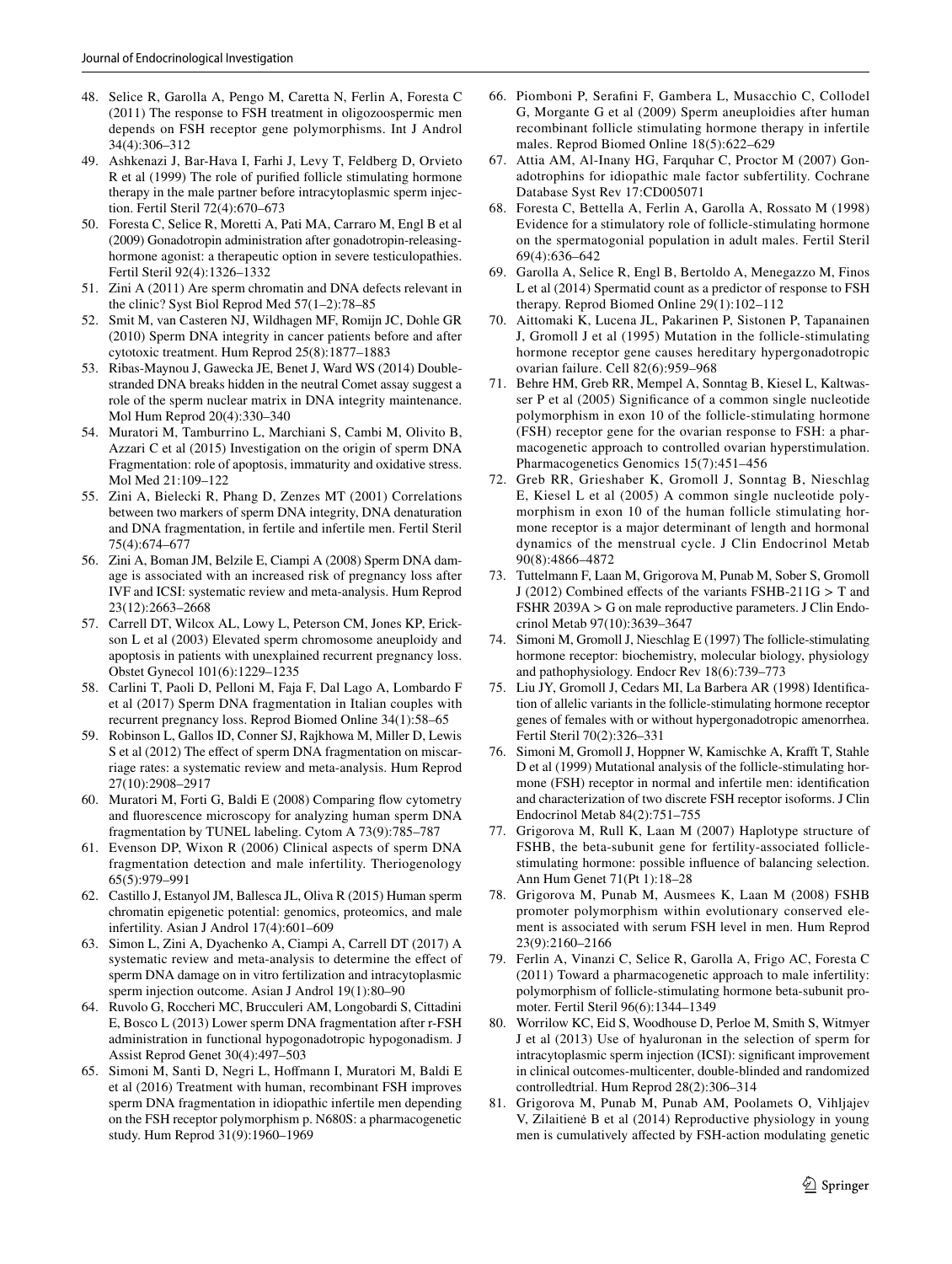- <span id="page-14-1"></span>48. Selice R, Garolla A, Pengo M, Caretta N, Ferlin A, Foresta C (2011) The response to FSH treatment in oligozoospermic men depends on FSH receptor gene polymorphisms. Int J Androl 34(4):306–312
- <span id="page-14-2"></span>49. Ashkenazi J, Bar-Hava I, Farhi J, Levy T, Feldberg D, Orvieto R et al (1999) The role of purifed follicle stimulating hormone therapy in the male partner before intracytoplasmic sperm injection. Fertil Steril 72(4):670–673
- <span id="page-14-3"></span>50. Foresta C, Selice R, Moretti A, Pati MA, Carraro M, Engl B et al (2009) Gonadotropin administration after gonadotropin-releasinghormone agonist: a therapeutic option in severe testiculopathies. Fertil Steril 92(4):1326–1332
- <span id="page-14-4"></span>51. Zini A (2011) Are sperm chromatin and DNA defects relevant in the clinic? Syst Biol Reprod Med 57(1–2):78–85
- 52. Smit M, van Casteren NJ, Wildhagen MF, Romijn JC, Dohle GR (2010) Sperm DNA integrity in cancer patients before and after cytotoxic treatment. Hum Reprod 25(8):1877–1883
- 53. Ribas-Maynou J, Gawecka JE, Benet J, Ward WS (2014) Doublestranded DNA breaks hidden in the neutral Comet assay suggest a role of the sperm nuclear matrix in DNA integrity maintenance. Mol Hum Reprod 20(4):330–340
- <span id="page-14-5"></span>54. Muratori M, Tamburrino L, Marchiani S, Cambi M, Olivito B, Azzari C et al (2015) Investigation on the origin of sperm DNA Fragmentation: role of apoptosis, immaturity and oxidative stress. Mol Med 21:109–122
- <span id="page-14-6"></span>55. Zini A, Bielecki R, Phang D, Zenzes MT (2001) Correlations between two markers of sperm DNA integrity, DNA denaturation and DNA fragmentation, in fertile and infertile men. Fertil Steril 75(4):674–677
- <span id="page-14-7"></span>56. Zini A, Boman JM, Belzile E, Ciampi A (2008) Sperm DNA damage is associated with an increased risk of pregnancy loss after IVF and ICSI: systematic review and meta-analysis. Hum Reprod 23(12):2663–2668
- <span id="page-14-8"></span>57. Carrell DT, Wilcox AL, Lowy L, Peterson CM, Jones KP, Erickson L et al (2003) Elevated sperm chromosome aneuploidy and apoptosis in patients with unexplained recurrent pregnancy loss. Obstet Gynecol 101(6):1229–1235
- <span id="page-14-9"></span>58. Carlini T, Paoli D, Pelloni M, Faja F, Dal Lago A, Lombardo F et al (2017) Sperm DNA fragmentation in Italian couples with recurrent pregnancy loss. Reprod Biomed Online 34(1):58–65
- <span id="page-14-10"></span>59. Robinson L, Gallos ID, Conner SJ, Rajkhowa M, Miller D, Lewis S et al (2012) The effect of sperm DNA fragmentation on miscarriage rates: a systematic review and meta-analysis. Hum Reprod 27(10):2908–2917
- <span id="page-14-11"></span>60. Muratori M, Forti G, Baldi E (2008) Comparing fow cytometry and fuorescence microscopy for analyzing human sperm DNA fragmentation by TUNEL labeling. Cytom A 73(9):785–787
- <span id="page-14-12"></span>61. Evenson DP, Wixon R (2006) Clinical aspects of sperm DNA fragmentation detection and male infertility. Theriogenology 65(5):979–991
- 62. Castillo J, Estanyol JM, Ballesca JL, Oliva R (2015) Human sperm chromatin epigenetic potential: genomics, proteomics, and male infertility. Asian J Androl 17(4):601–609
- <span id="page-14-13"></span>63. Simon L, Zini A, Dyachenko A, Ciampi A, Carrell DT (2017) A systematic review and meta-analysis to determine the efect of sperm DNA damage on in vitro fertilization and intracytoplasmic sperm injection outcome. Asian J Androl 19(1):80–90
- <span id="page-14-14"></span>64. Ruvolo G, Roccheri MC, Brucculeri AM, Longobardi S, Cittadini E, Bosco L (2013) Lower sperm DNA fragmentation after r-FSH administration in functional hypogonadotropic hypogonadism. J Assist Reprod Genet 30(4):497–503
- <span id="page-14-15"></span>65. Simoni M, Santi D, Negri L, Hofmann I, Muratori M, Baldi E et al (2016) Treatment with human, recombinant FSH improves sperm DNA fragmentation in idiopathic infertile men depending on the FSH receptor polymorphism p. N680S: a pharmacogenetic study. Hum Reprod 31(9):1960–1969
- <span id="page-14-16"></span>66. Piomboni P, Serafni F, Gambera L, Musacchio C, Collodel G, Morgante G et al (2009) Sperm aneuploidies after human recombinant follicle stimulating hormone therapy in infertile males. Reprod Biomed Online 18(5):622–629
- <span id="page-14-17"></span>67. Attia AM, Al-Inany HG, Farquhar C, Proctor M (2007) Gonadotrophins for idiopathic male factor subfertility. Cochrane Database Syst Rev 17:CD005071
- <span id="page-14-0"></span>68. Foresta C, Bettella A, Ferlin A, Garolla A, Rossato M (1998) Evidence for a stimulatory role of follicle-stimulating hormone on the spermatogonial population in adult males. Fertil Steril 69(4):636–642
- <span id="page-14-18"></span>69. Garolla A, Selice R, Engl B, Bertoldo A, Menegazzo M, Finos L et al (2014) Spermatid count as a predictor of response to FSH therapy. Reprod Biomed Online 29(1):102–112
- <span id="page-14-19"></span>70. Aittomaki K, Lucena JL, Pakarinen P, Sistonen P, Tapanainen J, Gromoll J et al (1995) Mutation in the follicle-stimulating hormone receptor gene causes hereditary hypergonadotropic ovarian failure. Cell 82(6):959–968
- 71. Behre HM, Greb RR, Mempel A, Sonntag B, Kiesel L, Kaltwasser P et al (2005) Signifcance of a common single nucleotide polymorphism in exon 10 of the follicle-stimulating hormone (FSH) receptor gene for the ovarian response to FSH: a pharmacogenetic approach to controlled ovarian hyperstimulation. Pharmacogenetics Genomics 15(7):451–456
- 72. Greb RR, Grieshaber K, Gromoll J, Sonntag B, Nieschlag E, Kiesel L et al (2005) A common single nucleotide polymorphism in exon 10 of the human follicle stimulating hormone receptor is a major determinant of length and hormonal dynamics of the menstrual cycle. J Clin Endocrinol Metab 90(8):4866–4872
- <span id="page-14-20"></span>73. Tuttelmann F, Laan M, Grigorova M, Punab M, Sober S, Gromoll J (2012) Combined efects of the variants FSHB-211G > T and FSHR 2039A > G on male reproductive parameters. J Clin Endocrinol Metab 97(10):3639–3647
- <span id="page-14-21"></span>74. Simoni M, Gromoll J, Nieschlag E (1997) The follicle-stimulating hormone receptor: biochemistry, molecular biology, physiology and pathophysiology. Endocr Rev 18(6):739–773
- <span id="page-14-22"></span>75. Liu JY, Gromoll J, Cedars MI, La Barbera AR (1998) Identifcation of allelic variants in the follicle-stimulating hormone receptor genes of females with or without hypergonadotropic amenorrhea. Fertil Steril 70(2):326–331
- <span id="page-14-23"></span>76. Simoni M, Gromoll J, Hoppner W, Kamischke A, Kraft T, Stahle D et al (1999) Mutational analysis of the follicle-stimulating hormone (FSH) receptor in normal and infertile men: identifcation and characterization of two discrete FSH receptor isoforms. J Clin Endocrinol Metab 84(2):751–755
- <span id="page-14-24"></span>77. Grigorova M, Rull K, Laan M (2007) Haplotype structure of FSHB, the beta-subunit gene for fertility-associated folliclestimulating hormone: possible infuence of balancing selection. Ann Hum Genet 71(Pt 1):18–28
- <span id="page-14-25"></span>78. Grigorova M, Punab M, Ausmees K, Laan M (2008) FSHB promoter polymorphism within evolutionary conserved element is associated with serum FSH level in men. Hum Reprod 23(9):2160–2166
- <span id="page-14-26"></span>79. Ferlin A, Vinanzi C, Selice R, Garolla A, Frigo AC, Foresta C (2011) Toward a pharmacogenetic approach to male infertility: polymorphism of follicle-stimulating hormone beta-subunit promoter. Fertil Steril 96(6):1344–1349
- <span id="page-14-27"></span>80. Worrilow KC, Eid S, Woodhouse D, Perloe M, Smith S, Witmyer J et al (2013) Use of hyaluronan in the selection of sperm for intracytoplasmic sperm injection (ICSI): signifcant improvement in clinical outcomes-multicenter, double-blinded and randomized controlledtrial. Hum Reprod 28(2):306–314
- <span id="page-14-28"></span>Grigorova M, Punab M, Punab AM, Poolamets O, Vihljajev V, Zilaitienė B et al (2014) Reproductive physiology in young men is cumulatively afected by FSH-action modulating genetic